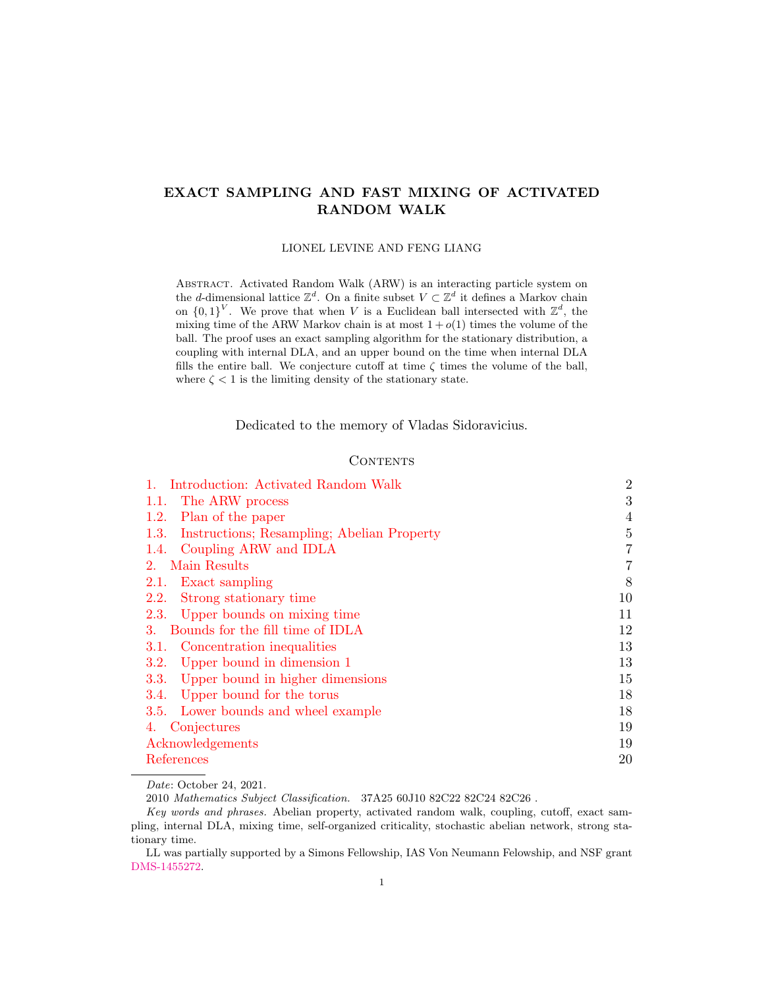# EXACT SAMPLING AND FAST MIXING OF ACTIVATED RANDOM WALK

LIONEL LEVINE AND FENG LIANG

Abstract. Activated Random Walk (ARW) is an interacting particle system on the *d*-dimensional lattice  $\mathbb{Z}^d$ . On a finite subset  $V \subset \mathbb{Z}^d$  it defines a Markov chain on  $\{0,1\}^V$ . We prove that when V is a Euclidean ball intersected with  $\mathbb{Z}^d$ , the mixing time of the ARW Markov chain is at most  $1 + o(1)$  times the volume of the ball. The proof uses an exact sampling algorithm for the stationary distribution, a coupling with internal DLA, and an upper bound on the time when internal DLA fills the entire ball. We conjecture cutoff at time  $\zeta$  times the volume of the ball, where  $\zeta$  < 1 is the limiting density of the stationary state.

Dedicated to the memory of Vladas Sidoravicius.

### **CONTENTS**

| 1. Introduction: Activated Random Walk             | $\overline{2}$ |
|----------------------------------------------------|----------------|
| The ARW process<br>1.1.                            | 3              |
| Plan of the paper<br>1.2.                          | $\overline{4}$ |
| Instructions; Resampling; Abelian Property<br>1.3. | 5              |
| Coupling ARW and IDLA<br>1.4.                      | 7              |
| 2. Main Results                                    | 7              |
| 2.1.<br>Exact sampling                             | 8              |
| 2.2.<br>Strong stationary time                     | 10             |
| 2.3. Upper bounds on mixing time                   | 11             |
| Bounds for the fill time of IDLA<br>3.             | 12             |
| 3.1. Concentration inequalities                    | 13             |
| Upper bound in dimension 1<br>3.2.                 | 13             |
| Upper bound in higher dimensions<br>3.3.           | 15             |
| Upper bound for the torus<br>3.4.                  | 18             |
| 3.5. Lower bounds and wheel example                | 18             |
| 4. Conjectures                                     | 19             |
| Acknowledgements                                   | 19             |
| References                                         | 20             |
|                                                    |                |

Date: October 24, 2021.

2010 Mathematics Subject Classification. 37A25 60J10 82C22 82C24 82C26 .

LL was partially supported by a Simons Fellowship, IAS Von Neumann Felowship, and NSF grant [DMS-1455272.](https://www.nsf.gov/awardsearch/showAward?AWD_ID=1455272)

Key words and phrases. Abelian property, activated random walk, coupling, cutoff, exact sampling, internal DLA, mixing time, self-organized criticality, stochastic abelian network, strong stationary time.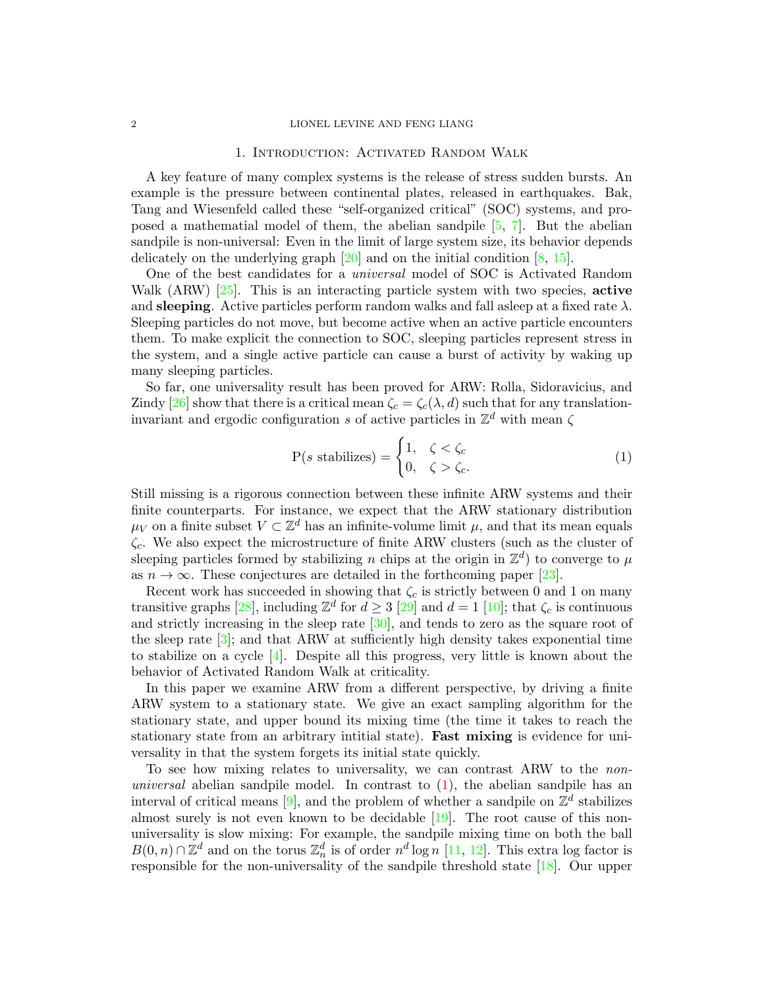#### <span id="page-1-0"></span>2 LIONEL LEVINE AND FENG LIANG

### 1. Introduction: Activated Random Walk

A key feature of many complex systems is the release of stress sudden bursts. An example is the pressure between continental plates, released in earthquakes. Bak, Tang and Wiesenfeld called these "self-organized critical" (SOC) systems, and proposed a mathematial model of them, the abelian sandpile [\[5,](#page-19-1) [7\]](#page-19-2). But the abelian sandpile is non-universal: Even in the limit of large system size, its behavior depends delicately on the underlying graph  $[20]$  and on the initial condition  $[8, 15]$  $[8, 15]$  $[8, 15]$ .

One of the best candidates for a universal model of SOC is Activated Random Walk (ARW)  $[25]$ . This is an interacting particle system with two species, **active** and **sleeping**. Active particles perform random walks and fall asleep at a fixed rate  $\lambda$ . Sleeping particles do not move, but become active when an active particle encounters them. To make explicit the connection to SOC, sleeping particles represent stress in the system, and a single active particle can cause a burst of activity by waking up many sleeping particles.

So far, one universality result has been proved for ARW: Rolla, Sidoravicius, and Zindy [\[26\]](#page-20-0) show that there is a critical mean  $\zeta_c = \zeta_c(\lambda, d)$  such that for any translationinvariant and ergodic configuration s of active particles in  $\mathbb{Z}^d$  with mean  $\zeta$ 

<span id="page-1-1"></span>
$$
P(s \text{ stabilizes}) = \begin{cases} 1, & \zeta < \zeta_c \\ 0, & \zeta > \zeta_c. \end{cases} \tag{1}
$$

Still missing is a rigorous connection between these infinite ARW systems and their finite counterparts. For instance, we expect that the ARW stationary distribution  $\mu_V$  on a finite subset  $V \subset \mathbb{Z}^d$  has an infinite-volume limit  $\mu$ , and that its mean equals  $\zeta_c$ . We also expect the microstructure of finite ARW clusters (such as the cluster of sleeping particles formed by stabilizing n chips at the origin in  $\mathbb{Z}^d$  to converge to  $\mu$ as  $n \to \infty$ . These conjectures are detailed in the forthcoming paper [\[23\]](#page-19-7).

Recent work has succeeded in showing that  $\zeta_c$  is strictly between 0 and 1 on many transitive graphs [\[28\]](#page-20-1), including  $\mathbb{Z}^d$  for  $d \geq 3$  [\[29\]](#page-20-2) and  $d = 1$  [\[10\]](#page-19-8); that  $\zeta_c$  is continuous and strictly increasing in the sleep rate [\[30\]](#page-20-3), and tends to zero as the square root of the sleep rate  $[3]$ ; and that ARW at sufficiently high density takes exponential time to stabilize on a cycle  $[4]$ . Despite all this progress, very little is known about the behavior of Activated Random Walk at criticality.

In this paper we examine ARW from a different perspective, by driving a finite ARW system to a stationary state. We give an exact sampling algorithm for the stationary state, and upper bound its mixing time (the time it takes to reach the stationary state from an arbitrary intitial state). **Fast mixing** is evidence for universality in that the system forgets its initial state quickly.

To see how mixing relates to universality, we can contrast ARW to the nonuniversal abelian sandpile model. In contrast to  $(1)$ , the abelian sandpile has an interval of critical means [\[9\]](#page-19-11), and the problem of whether a sandpile on  $\mathbb{Z}^d$  stabilizes almost surely is not even known to be decidable  $[19]$ . The root cause of this nonuniversality is slow mixing: For example, the sandpile mixing time on both the ball  $B(0,n) \cap \mathbb{Z}^d$  and on the torus  $\mathbb{Z}_n^d$  is of order  $n^d \log n$  [\[11,](#page-19-13) [12\]](#page-19-14). This extra log factor is responsible for the non-universality of the sandpile threshold state [\[18\]](#page-19-15). Our upper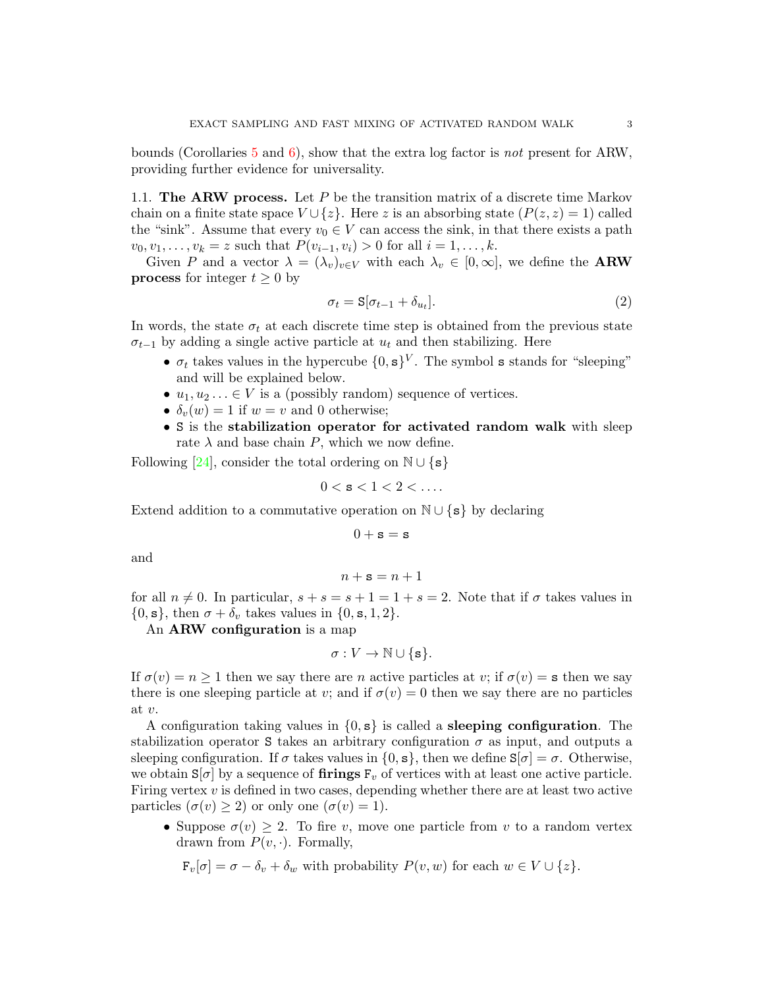bounds (Corollaries [5](#page-11-1) and [6\)](#page-11-2), show that the extra log factor is not present for ARW, providing further evidence for universality.

<span id="page-2-0"></span>1.1. The ARW process. Let  $P$  be the transition matrix of a discrete time Markov chain on a finite state space  $V \cup \{z\}$ . Here z is an absorbing state  $(P(z, z) = 1)$  called the "sink". Assume that every  $v_0 \in V$  can access the sink, in that there exists a path  $v_0, v_1, \ldots, v_k = z$  such that  $P(v_{i-1}, v_i) > 0$  for all  $i = 1, \ldots, k$ .

Given P and a vector  $\lambda = (\lambda_v)_{v \in V}$  with each  $\lambda_v \in [0, \infty]$ , we define the **ARW process** for integer  $t \geq 0$  by

$$
\sigma_t = \mathbf{S}[\sigma_{t-1} + \delta_{u_t}].\tag{2}
$$

In words, the state  $\sigma_t$  at each discrete time step is obtained from the previous state  $\sigma_{t-1}$  by adding a single active particle at  $u_t$  and then stabilizing. Here

- $\sigma_t$  takes values in the hypercube  $\{0, s\}^V$ . The symbol s stands for "sleeping" and will be explained below.
- $u_1, u_2, \ldots \in V$  is a (possibly random) sequence of vertices.
- $\delta_v(w) = 1$  if  $w = v$  and 0 otherwise;
- S is the stabilization operator for activated random walk with sleep rate  $\lambda$  and base chain P, which we now define.

Following [\[24\]](#page-19-16), consider the total ordering on  $\mathbb{N} \cup \{s\}$ 

$$
0<\mathbf{s}<1<2<\ldots.
$$

Extend addition to a commutative operation on  $\mathbb{N} \cup \{s\}$  by declaring

$$
0+{\tt s}={\tt s}
$$

and

$$
n + \mathbf{s} = n + 1
$$

for all  $n \neq 0$ . In particular,  $s + s = s + 1 = 1 + s = 2$ . Note that if  $\sigma$  takes values in  $\{0, s\}$ , then  $\sigma + \delta_v$  takes values in  $\{0, s, 1, 2\}$ .

An ARW configuration is a map

$$
\sigma: V \to \mathbb{N} \cup \{\mathbf{s}\}.
$$

If  $\sigma(v) = n \geq 1$  then we say there are n active particles at v; if  $\sigma(v) = s$  then we say there is one sleeping particle at v; and if  $\sigma(v) = 0$  then we say there are no particles at v.

A configuration taking values in  $\{0, s\}$  is called a **sleeping configuration**. The stabilization operator S takes an arbitrary configuration  $\sigma$  as input, and outputs a sleeping configuration. If  $\sigma$  takes values in  $\{0, s\}$ , then we define  $S[\sigma] = \sigma$ . Otherwise, we obtain  $S[\sigma]$  by a sequence of firings  $F_v$  of vertices with at least one active particle. Firing vertex  $v$  is defined in two cases, depending whether there are at least two active particles  $(\sigma(v) \geq 2)$  or only one  $(\sigma(v) = 1)$ .

• Suppose  $\sigma(v) \geq 2$ . To fire v, move one particle from v to a random vertex drawn from  $P(v, \cdot)$ . Formally,

 $F_v[\sigma] = \sigma - \delta_v + \delta_w$  with probability  $P(v, w)$  for each  $w \in V \cup \{z\}.$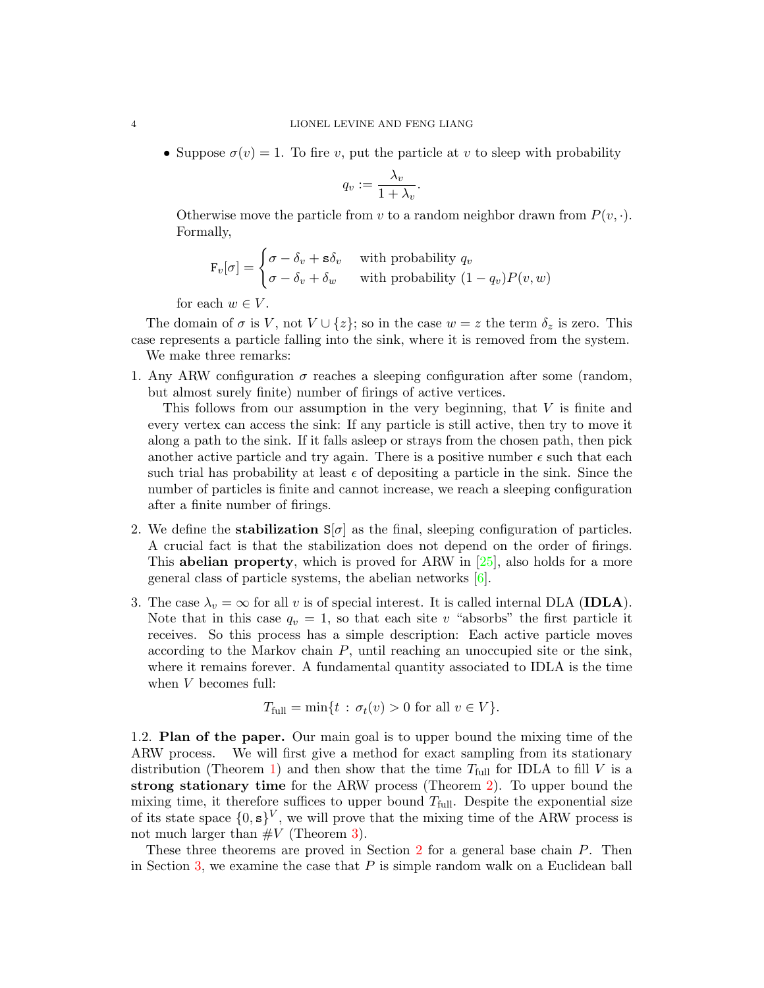• Suppose  $\sigma(v) = 1$ . To fire v, put the particle at v to sleep with probability

$$
q_v := \frac{\lambda_v}{1 + \lambda_v}.
$$

Otherwise move the particle from v to a random neighbor drawn from  $P(v, \cdot)$ . Formally,

$$
\mathbf{F}_v[\sigma] = \begin{cases} \sigma - \delta_v + \mathbf{s}\delta_v & \text{with probability } q_v \\ \sigma - \delta_v + \delta_w & \text{with probability } (1 - q_v)P(v, w) \end{cases}
$$

for each  $w \in V$ .

The domain of  $\sigma$  is V, not  $V \cup \{z\}$ ; so in the case  $w = z$  the term  $\delta_z$  is zero. This case represents a particle falling into the sink, where it is removed from the system. We make three remarks:

1. Any ARW configuration  $\sigma$  reaches a sleeping configuration after some (random, but almost surely finite) number of firings of active vertices.

This follows from our assumption in the very beginning, that V is finite and every vertex can access the sink: If any particle is still active, then try to move it along a path to the sink. If it falls asleep or strays from the chosen path, then pick another active particle and try again. There is a positive number  $\epsilon$  such that each such trial has probability at least  $\epsilon$  of depositing a particle in the sink. Since the number of particles is finite and cannot increase, we reach a sleeping configuration after a finite number of firings.

- 2. We define the **stabilization**  $S[\sigma]$  as the final, sleeping configuration of particles. A crucial fact is that the stabilization does not depend on the order of firings. This **abelian property**, which is proved for ARW in  $[25]$ , also holds for a more general class of particle systems, the abelian networks [\[6\]](#page-19-17).
- 3. The case  $\lambda_v = \infty$  for all v is of special interest. It is called internal DLA (IDLA). Note that in this case  $q_v = 1$ , so that each site v "absorbs" the first particle it receives. So this process has a simple description: Each active particle moves according to the Markov chain  $P$ , until reaching an unoccupied site or the sink, where it remains forever. A fundamental quantity associated to IDLA is the time when V becomes full:

$$
T_{\text{full}} = \min\{t : \sigma_t(v) > 0 \text{ for all } v \in V\}.
$$

<span id="page-3-0"></span>1.2. Plan of the paper. Our main goal is to upper bound the mixing time of the ARW process. We will first give a method for exact sampling from its stationary distribution (Theorem [1\)](#page-7-1) and then show that the time  $T_{\text{full}}$  for IDLA to fill V is a strong stationary time for the ARW process (Theorem [2\)](#page-9-1). To upper bound the mixing time, it therefore suffices to upper bound  $T_{\text{full}}$ . Despite the exponential size of its state space  $\{0, s\}^V$ , we will prove that the mixing time of the ARW process is not much larger than  $\#V$  (Theorem [3\)](#page-10-1).

These three theorems are proved in Section [2](#page-6-1) for a general base chain P. Then in Section [3,](#page-11-0) we examine the case that  $P$  is simple random walk on a Euclidean ball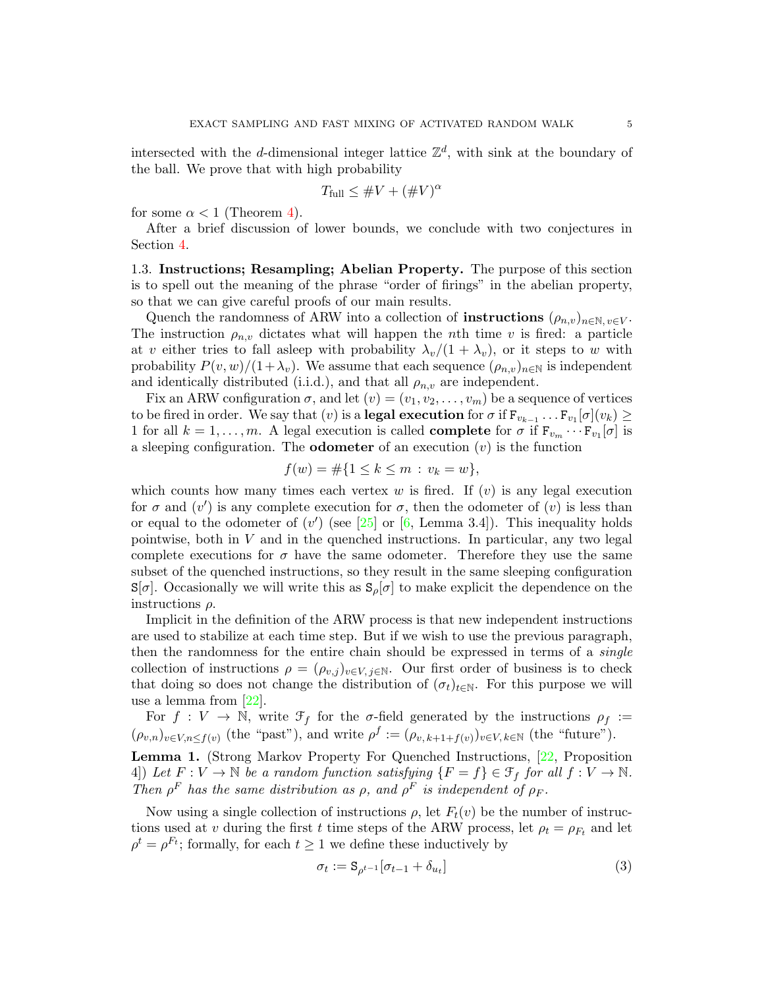intersected with the d-dimensional integer lattice  $\mathbb{Z}^d$ , with sink at the boundary of the ball. We prove that with high probability

$$
T_{\text{full}} \leq \#V + (\#V)^{\alpha}
$$

for some  $\alpha < 1$  (Theorem [4\)](#page-11-3).

After a brief discussion of lower bounds, we conclude with two conjectures in Section [4.](#page-18-0)

<span id="page-4-0"></span>1.3. Instructions; Resampling; Abelian Property. The purpose of this section is to spell out the meaning of the phrase "order of firings" in the abelian property, so that we can give careful proofs of our main results.

Quench the randomness of ARW into a collection of **instructions**  $(\rho_{n,v})_{n\in\mathbb{N}, v\in V}$ . The instruction  $\rho_{n,v}$  dictates what will happen the *n*th time *v* is fired: a particle at v either tries to fall asleep with probability  $\lambda_v/(1 + \lambda_v)$ , or it steps to w with probability  $P(v, w)/(1+\lambda_v)$ . We assume that each sequence  $(\rho_{n,v})_{n\in\mathbb{N}}$  is independent and identically distributed (i.i.d.), and that all  $\rho_{n,v}$  are independent.

Fix an ARW configuration  $\sigma$ , and let  $(v) = (v_1, v_2, \ldots, v_m)$  be a sequence of vertices to be fired in order. We say that  $(v)$  is a **legal execution** for  $\sigma$  if  $\mathrm{F}_{v_{k-1}}\ldots\mathrm{F}_{v_1}[\sigma](v_k) \geq$ 1 for all  $k = 1, \ldots, m$ . A legal execution is called **complete** for  $\sigma$  if  $\mathbf{F}_{v_m} \cdots \mathbf{F}_{v_1}[\sigma]$  is a sleeping configuration. The **odometer** of an execution  $(v)$  is the function

$$
f(w) = \#\{1 \le k \le m : v_k = w\},\
$$

which counts how many times each vertex  $w$  is fired. If  $(v)$  is any legal execution for  $\sigma$  and  $(v')$  is any complete execution for  $\sigma$ , then the odometer of  $(v)$  is less than or equal to the odometer of  $(v')$  (see [\[25\]](#page-19-6) or [\[6,](#page-19-17) Lemma 3.4]). This inequality holds pointwise, both in  $V$  and in the quenched instructions. In particular, any two legal complete executions for  $\sigma$  have the same odometer. Therefore they use the same subset of the quenched instructions, so they result in the same sleeping configuration  $S[\sigma]$ . Occasionally we will write this as  $S_{\rho}[\sigma]$  to make explicit the dependence on the instructions  $\rho$ .

Implicit in the definition of the ARW process is that new independent instructions are used to stabilize at each time step. But if we wish to use the previous paragraph, then the randomness for the entire chain should be expressed in terms of a *single* collection of instructions  $\rho = (\rho_{v,j})_{v \in V, j \in \mathbb{N}}$ . Our first order of business is to check that doing so does not change the distribution of  $(\sigma_t)_{t \in \mathbb{N}}$ . For this purpose we will use a lemma from [\[22\]](#page-19-18).

For  $f: V \to \mathbb{N}$ , write  $\mathcal{F}_f$  for the  $\sigma$ -field generated by the instructions  $\rho_f :=$  $(\rho_{v,n})_{v \in V,n \leq f(v)}$  (the "past"), and write  $\rho^f := (\rho_{v,k+1+f(v)})_{v \in V,k \in \mathbb{N}}$  (the "future").

<span id="page-4-1"></span>Lemma 1. (Strong Markov Property For Quenched Instructions, [\[22,](#page-19-18) Proposition 4) Let  $F: V \to \mathbb{N}$  be a random function satisfying  $\{F = f\} \in \mathcal{F}_f$  for all  $f: V \to \mathbb{N}$ . Then  $\rho^F$  has the same distribution as  $\rho$ , and  $\rho^F$  is independent of  $\rho_F$ .

Now using a single collection of instructions  $\rho$ , let  $F_t(v)$  be the number of instructions used at v during the first t time steps of the ARW process, let  $\rho_t = \rho_{F_t}$  and let  $\rho^t = \rho^{F_t}$ ; formally, for each  $t \geq 1$  we define these inductively by

<span id="page-4-2"></span>
$$
\sigma_t := \mathbf{S}_{\rho^{t-1}}[\sigma_{t-1} + \delta_{u_t}] \tag{3}
$$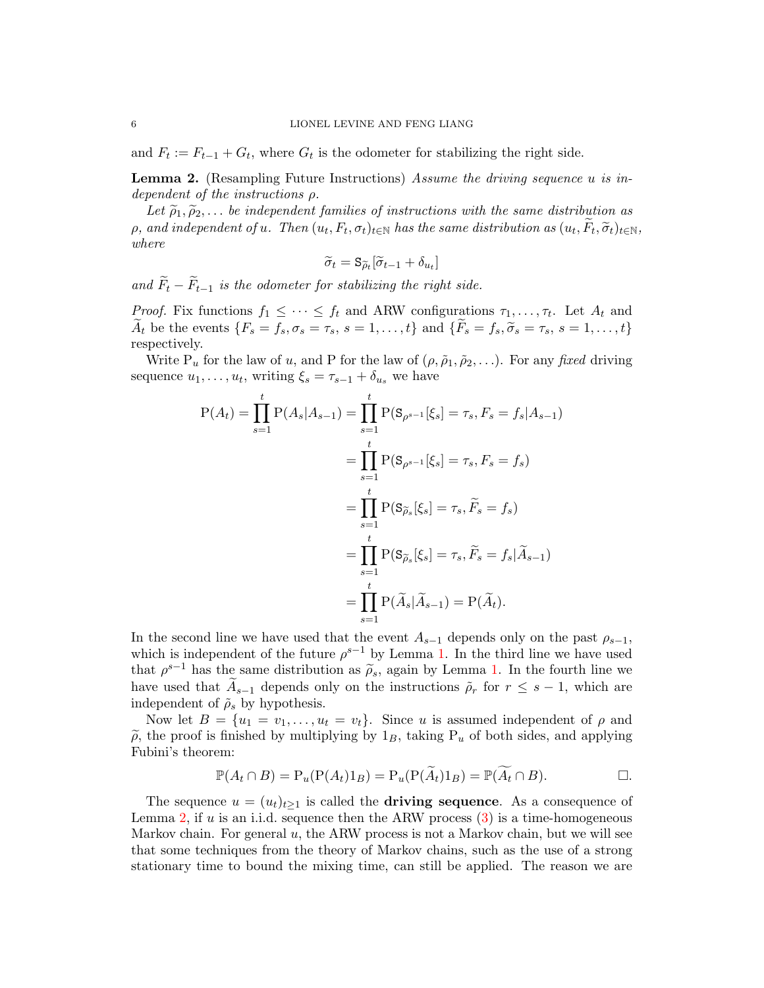and  $F_t := F_{t-1} + G_t$ , where  $G_t$  is the odometer for stabilizing the right side.

<span id="page-5-0"></span>Lemma 2. (Resampling Future Instructions) Assume the driving sequence u is independent of the instructions ρ.

Let  $\tilde{\rho}_1, \tilde{\rho}_2, \ldots$  be independent families of instructions with the same distribution as p, and independent of u. Then  $(u_t, F_t, \sigma_t)_{t \in \mathbb{N}}$  has the same distribution as  $(u_t, F_t, \widetilde{\sigma}_t)_{t \in \mathbb{N}}$ ,<br>where where

$$
\widetilde{\sigma}_t = \mathbf{S}_{\widetilde{\rho}_t}[\widetilde{\sigma}_{t-1} + \delta_{u_t}]
$$

and  $F_t - F_{t-1}$  is the odometer for stabilizing the right side.

*Proof.* Fix functions  $f_1 \leq \cdots \leq f_t$  and ARW configurations  $\tau_1, \ldots, \tau_t$ . Let  $A_t$  and  $\widetilde{A}_t$  be the events  $\{F_s = f_s, \sigma_s = \tau_s, s = 1, \ldots, t\}$  and  $\{\widetilde{F}_s = f_s, \widetilde{\sigma}_s = \tau_s, s = 1, \ldots, t\}$ respectively.

Write  $P_u$  for the law of u, and P for the law of  $(\rho, \tilde{\rho}_1, \tilde{\rho}_2, \ldots)$ . For any fixed driving sequence  $u_1, \ldots, u_t$ , writing  $\xi_s = \tau_{s-1} + \delta_{u_s}$  we have

$$
P(A_t) = \prod_{s=1}^{t} P(A_s | A_{s-1}) = \prod_{s=1}^{t} P(S_{\rho^{s-1}}[\xi_s] = \tau_s, F_s = f_s | A_{s-1})
$$
  
= 
$$
\prod_{s=1}^{t} P(S_{\rho^{s-1}}[\xi_s] = \tau_s, F_s = f_s)
$$
  
= 
$$
\prod_{s=1}^{t} P(S_{\widetilde{\rho}_s}[\xi_s] = \tau_s, \widetilde{F}_s = f_s)
$$
  
= 
$$
\prod_{s=1}^{t} P(S_{\widetilde{\rho}_s}[\xi_s] = \tau_s, \widetilde{F}_s = f_s | \widetilde{A}_{s-1})
$$
  
= 
$$
\prod_{s=1}^{t} P(\widetilde{A}_s | \widetilde{A}_{s-1}) = P(\widetilde{A}_t).
$$

In the second line we have used that the event  $A_{s-1}$  depends only on the past  $\rho_{s-1}$ , which is independent of the future  $\rho^{s-1}$  by Lemma [1.](#page-4-1) In the third line we have used that  $\rho^{s-1}$  has the same distribution as  $\tilde{\rho}_s$ , again by Lemma [1.](#page-4-1) In the fourth line we<br>have used that  $\tilde{\lambda}$  depends only on the instructions  $\tilde{\lambda}$  for  $r \leq s-1$  which are have used that  $A_{s-1}$  depends only on the instructions  $\tilde{\rho}_r$  for  $r \leq s-1$ , which are independent of  $\tilde{\rho}_s$  by hypothesis.

Now let  $B = \{u_1 = v_1, \ldots, u_t = v_t\}$ . Since u is assumed independent of  $\rho$  and  $\tilde{\rho}$ , the proof is finished by multiplying by  $1_B$ , taking P<sub>u</sub> of both sides, and applying Fubini's theorem:

$$
\mathbb{P}(A_t \cap B) = \mathcal{P}_u(\mathcal{P}(A_t)1_B) = \mathcal{P}_u(\mathcal{P}(\widetilde{A}_t)1_B) = \mathbb{P}(\widetilde{A}_t \cap B).
$$

The sequence  $u = (u_t)_{t\geq 1}$  is called the **driving sequence**. As a consequence of Lemma [2,](#page-5-0) if u is an i.i.d. sequence then the ARW process  $(3)$  is a time-homogeneous Markov chain. For general  $u$ , the ARW process is not a Markov chain, but we will see that some techniques from the theory of Markov chains, such as the use of a strong stationary time to bound the mixing time, can still be applied. The reason we are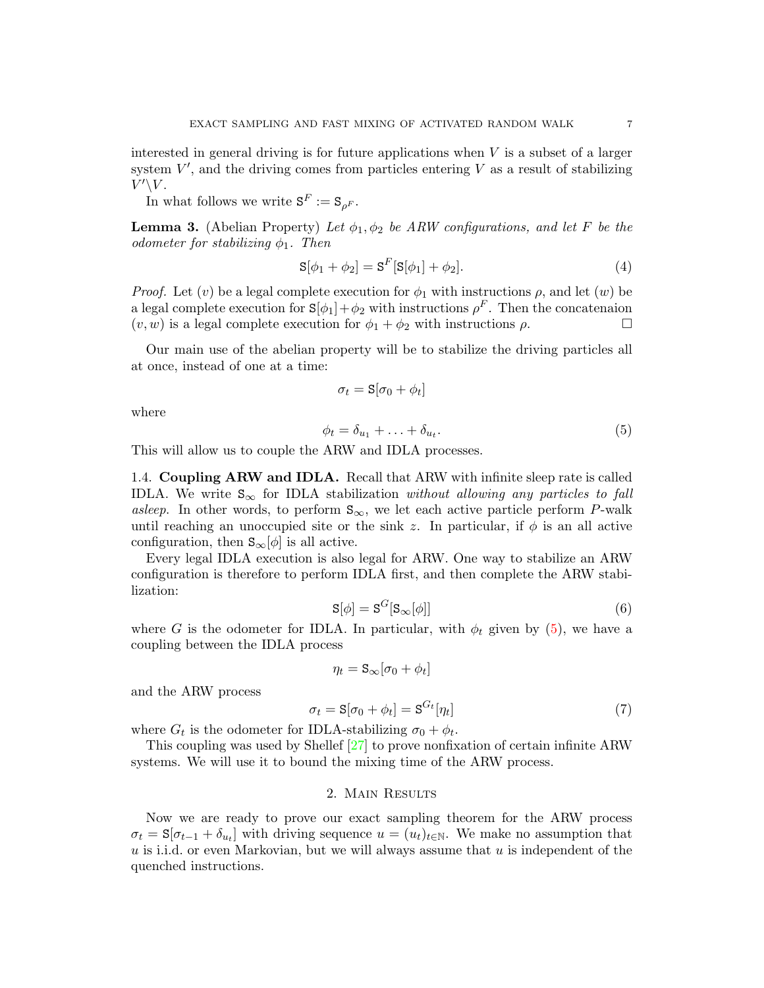interested in general driving is for future applications when  $V$  is a subset of a larger system  $V'$ , and the driving comes from particles entering  $V$  as a result of stabilizing  $V'\backslash V.$ 

In what follows we write  $S^F := S_{\rho^F}$ .

<span id="page-6-6"></span>**Lemma 3.** (Abelian Property) Let  $\phi_1, \phi_2$  be ARW configurations, and let F be the odometer for stabilizing  $\phi_1$ . Then

<span id="page-6-4"></span>
$$
S[\phi_1 + \phi_2] = S^F[S[\phi_1] + \phi_2].
$$
\n(4)

*Proof.* Let  $(v)$  be a legal complete execution for  $\phi_1$  with instructions  $\rho$ , and let  $(w)$  be a legal complete execution for  $S[\phi_1]+\phi_2$  with instructions  $\rho^F$ . Then the concatenaion  $(v, w)$  is a legal complete execution for  $\phi_1 + \phi_2$  with instructions  $\rho$ .

Our main use of the abelian property will be to stabilize the driving particles all at once, instead of one at a time:

$$
\sigma_t = \mathbf{S}[\sigma_0 + \phi_t]
$$

<span id="page-6-2"></span>where

$$
\phi_t = \delta_{u_1} + \ldots + \delta_{u_t}.\tag{5}
$$

This will allow us to couple the ARW and IDLA processes.

<span id="page-6-0"></span>1.4. Coupling ARW and IDLA. Recall that ARW with infinite sleep rate is called IDLA. We write  $S_{\infty}$  for IDLA stabilization without allowing any particles to fall asleep. In other words, to perform  $S_{\infty}$ , we let each active particle perform P-walk until reaching an unoccupied site or the sink z. In particular, if  $\phi$  is an all active configuration, then  $S_{\infty}[\phi]$  is all active.

<span id="page-6-3"></span>Every legal IDLA execution is also legal for ARW. One way to stabilize an ARW configuration is therefore to perform IDLA first, and then complete the ARW stabilization:

$$
\mathbf{S}[\phi] = \mathbf{S}^G[\mathbf{S}_{\infty}[\phi]]\tag{6}
$$

where G is the odometer for IDLA. In particular, with  $\phi_t$  given by [\(5\)](#page-6-2), we have a coupling between the IDLA process

$$
\eta_t = \mathbf{S}_{\infty}[\sigma_0 + \phi_t]
$$

and the ARW process

<span id="page-6-5"></span>
$$
\sigma_t = \mathbf{S}[\sigma_0 + \phi_t] = \mathbf{S}^{G_t}[\eta_t]
$$
\n<sup>(7)</sup>

where  $G_t$  is the odometer for IDLA-stabilizing  $\sigma_0 + \phi_t$ .

This coupling was used by Shellef [\[27\]](#page-20-4) to prove nonfixation of certain infinite ARW systems. We will use it to bound the mixing time of the ARW process.

### 2. Main Results

<span id="page-6-1"></span>Now we are ready to prove our exact sampling theorem for the ARW process  $\sigma_t = \mathbf{S}[\sigma_{t-1} + \delta_{u_t}]$  with driving sequence  $u = (u_t)_{t \in \mathbb{N}}$ . We make no assumption that  $u$  is i.i.d. or even Markovian, but we will always assume that  $u$  is independent of the quenched instructions.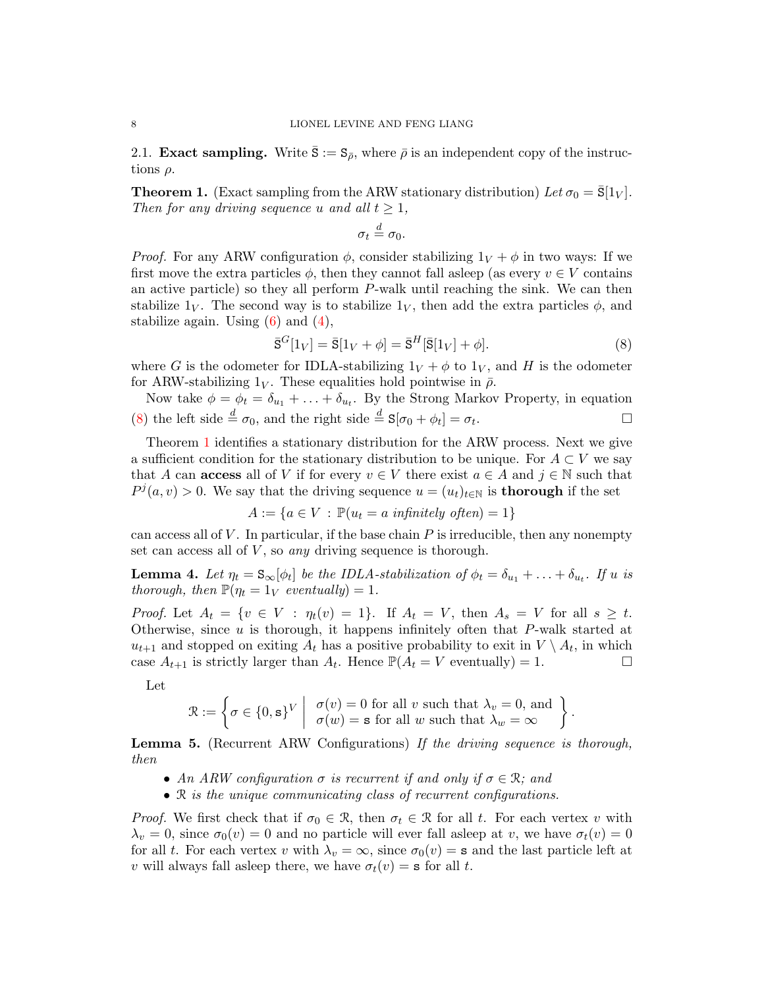<span id="page-7-0"></span>2.1. **Exact sampling.** Write  $\bar{S} := S_{\bar{\rho}}$ , where  $\bar{\rho}$  is an independent copy of the instructions  $\rho$ .

<span id="page-7-1"></span>**Theorem 1.** (Exact sampling from the ARW stationary distribution) Let  $\sigma_0 = \bar{S}[1_V]$ . Then for any driving sequence u and all  $t \geq 1$ ,

$$
\sigma_t \stackrel{d}{=} \sigma_0.
$$

*Proof.* For any ARW configuration  $\phi$ , consider stabilizing  $1_V + \phi$  in two ways: If we first move the extra particles  $\phi$ , then they cannot fall asleep (as every  $v \in V$  contains an active particle) so they all perform  $P$ -walk until reaching the sink. We can then stabilize  $1_V$ . The second way is to stabilize  $1_V$ , then add the extra particles  $\phi$ , and stabilize again. Using  $(6)$  and  $(4)$ ,

<span id="page-7-2"></span>
$$
\overline{\mathbf{S}}^{G}[1_V] = \overline{\mathbf{S}}[1_V + \phi] = \overline{\mathbf{S}}^{H}[\overline{\mathbf{S}}[1_V] + \phi].\tag{8}
$$

.

where G is the odometer for IDLA-stabilizing  $1_V + \phi$  to  $1_V$ , and H is the odometer for ARW-stabilizing  $1_V$ . These equalities hold pointwise in  $\bar{\rho}$ .

Now take  $\phi = \phi_t = \delta_{u_1} + \ldots + \delta_{u_t}$ . By the Strong Markov Property, in equation [\(8\)](#page-7-2) the left side  $\stackrel{d}{=} \sigma_0$ , and the right side  $\stackrel{d}{=} S[\sigma_0 + \phi_t] = \sigma_t$ .

Theorem [1](#page-7-1) identifies a stationary distribution for the ARW process. Next we give a sufficient condition for the stationary distribution to be unique. For  $A \subset V$  we say that A can **access** all of V if for every  $v \in V$  there exist  $a \in A$  and  $j \in \mathbb{N}$  such that  $P^j(a, v) > 0$ . We say that the driving sequence  $u = (u_t)_{t \in \mathbb{N}}$  is **thorough** if the set

$$
A := \{ a \in V : \mathbb{P}(u_t = a \text{ infinitely often}) = 1 \}
$$

can access all of  $V$ . In particular, if the base chain  $P$  is irreducible, then any nonempty set can access all of  $V$ , so any driving sequence is thorough.

<span id="page-7-3"></span>**Lemma 4.** Let  $\eta_t = S_{\infty}[\phi_t]$  be the IDLA-stabilization of  $\phi_t = \delta_{u_1} + \ldots + \delta_{u_t}$ . If u is thorough, then  $\mathbb{P}(\eta_t = 1_V \text{ eventually}) = 1$ .

Proof. Let  $A_t = \{v \in V : \eta_t(v) = 1\}$ . If  $A_t = V$ , then  $A_s = V$  for all  $s \geq t$ . Otherwise, since  $u$  is thorough, it happens infinitely often that  $P$ -walk started at  $u_{t+1}$  and stopped on exiting  $A_t$  has a positive probability to exit in  $V \setminus A_t$ , in which case  $A_{t+1}$  is strictly larger than  $A_t$ . Hence  $\mathbb{P}(A_t = V \text{ eventually}) = 1$ .

Let

$$
\mathcal{R} := \left\{ \sigma \in \{0, s\}^V \middle| \begin{array}{c} \sigma(v) = 0 \text{ for all } v \text{ such that } \lambda_v = 0, \text{ and} \\ \sigma(w) = \mathbf{s} \text{ for all } w \text{ such that } \lambda_w = \infty \end{array} \right\}
$$

<span id="page-7-4"></span>Lemma 5. (Recurrent ARW Configurations) If the driving sequence is thorough, then

- An ARW configuration  $\sigma$  is recurrent if and only if  $\sigma \in \mathcal{R}$ ; and
- R is the unique communicating class of recurrent configurations.

*Proof.* We first check that if  $\sigma_0 \in \mathcal{R}$ , then  $\sigma_t \in \mathcal{R}$  for all t. For each vertex v with  $\lambda_v = 0$ , since  $\sigma_0(v) = 0$  and no particle will ever fall asleep at v, we have  $\sigma_t(v) = 0$ for all t. For each vertex v with  $\lambda_v = \infty$ , since  $\sigma_0(v) = \mathbf{s}$  and the last particle left at v will always fall asleep there, we have  $\sigma_t(v) = \mathbf{s}$  for all t.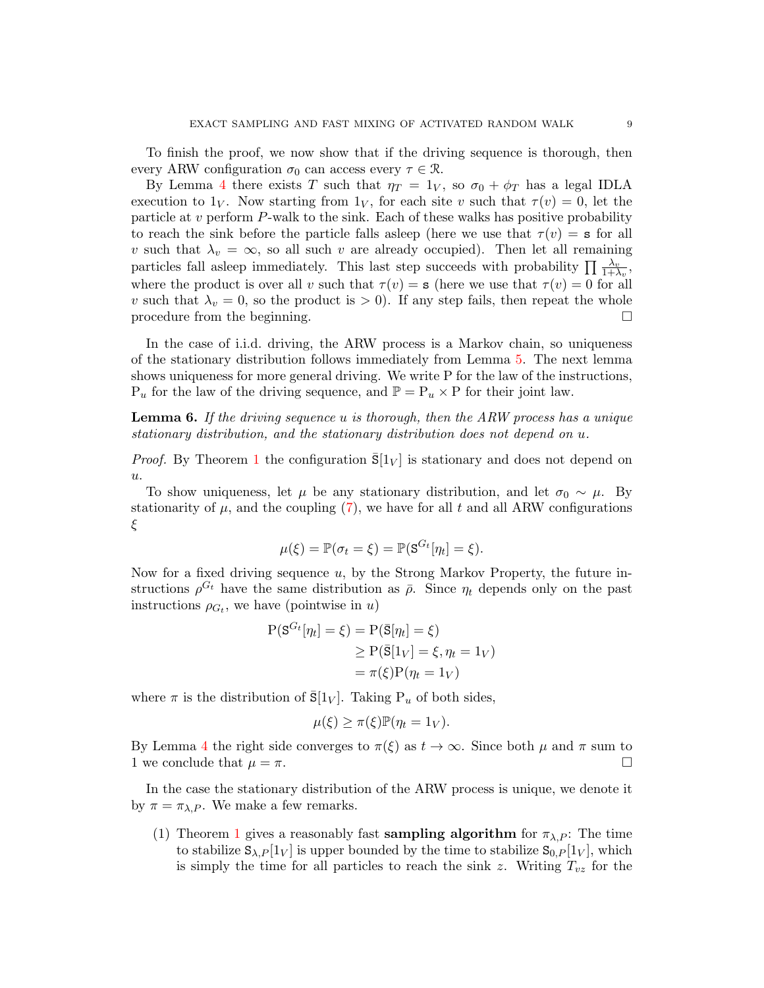To finish the proof, we now show that if the driving sequence is thorough, then every ARW configuration  $\sigma_0$  can access every  $\tau \in \mathcal{R}$ .

By Lemma [4](#page-7-3) there exists T such that  $\eta_T = 1_V$ , so  $\sigma_0 + \phi_T$  has a legal IDLA execution to  $1_V$ . Now starting from  $1_V$ , for each site v such that  $\tau(v) = 0$ , let the particle at  $v$  perform  $P$ -walk to the sink. Each of these walks has positive probability to reach the sink before the particle falls asleep (here we use that  $\tau(v) = s$  for all v such that  $\lambda_v = \infty$ , so all such v are already occupied). Then let all remaining particles fall asleep immediately. This last step succeeds with probability  $\prod_{n=1}^{\infty} \frac{\lambda_v}{1+\lambda_v}$ , where the product is over all v such that  $\tau(v) = s$  (here we use that  $\tau(v) = 0$  for all v such that  $\lambda_v = 0$ , so the product is  $> 0$ ). If any step fails, then repeat the whole procedure from the beginning.

In the case of i.i.d. driving, the ARW process is a Markov chain, so uniqueness of the stationary distribution follows immediately from Lemma [5.](#page-7-4) The next lemma shows uniqueness for more general driving. We write P for the law of the instructions,  $P_u$  for the law of the driving sequence, and  $\mathbb{P} = P_u \times P$  for their joint law.

**Lemma 6.** If the driving sequence u is thorough, then the ARW process has a unique stationary distribution, and the stationary distribution does not depend on u.

*Proof.* By Theorem [1](#page-7-1) the configuration  $\bar{S}[1_V]$  is stationary and does not depend on u.

To show uniqueness, let  $\mu$  be any stationary distribution, and let  $\sigma_0 \sim \mu$ . By stationarity of  $\mu$ , and the coupling [\(7\)](#page-6-5), we have for all t and all ARW configurations ξ

$$
\mu(\xi) = \mathbb{P}(\sigma_t = \xi) = \mathbb{P}(\mathbf{S}^{G_t}[\eta_t] = \xi).
$$

Now for a fixed driving sequence  $u$ , by the Strong Markov Property, the future instructions  $\rho^{G_t}$  have the same distribution as  $\bar{\rho}$ . Since  $\eta_t$  depends only on the past instructions  $\rho_{G_t}$ , we have (pointwise in u)

$$
P(S^{G_t}[\eta_t] = \xi) = P(\bar{S}[\eta_t] = \xi)
$$
  
\n
$$
\ge P(\bar{S}[1_V] = \xi, \eta_t = 1_V)
$$
  
\n
$$
= \pi(\xi)P(\eta_t = 1_V)
$$

where  $\pi$  is the distribution of  $\bar{S}[1_V]$ . Taking  $P_u$  of both sides,

$$
\mu(\xi) \ge \pi(\xi) \mathbb{P}(\eta_t = 1_V).
$$

By Lemma [4](#page-7-3) the right side converges to  $\pi(\xi)$  as  $t \to \infty$ . Since both  $\mu$  and  $\pi$  sum to 1 we conclude that  $\mu = \pi$ .

In the case the stationary distribution of the ARW process is unique, we denote it by  $\pi = \pi_{\lambda,P}$ . We make a few remarks.

([1](#page-7-1)) Theorem 1 gives a reasonably fast **sampling algorithm** for  $\pi_{\lambda,P}$ : The time to stabilize  $S_{\lambda,P}[1_V]$  is upper bounded by the time to stabilize  $S_{0,P}[1_V]$ , which is simply the time for all particles to reach the sink z. Writing  $T_{vz}$  for the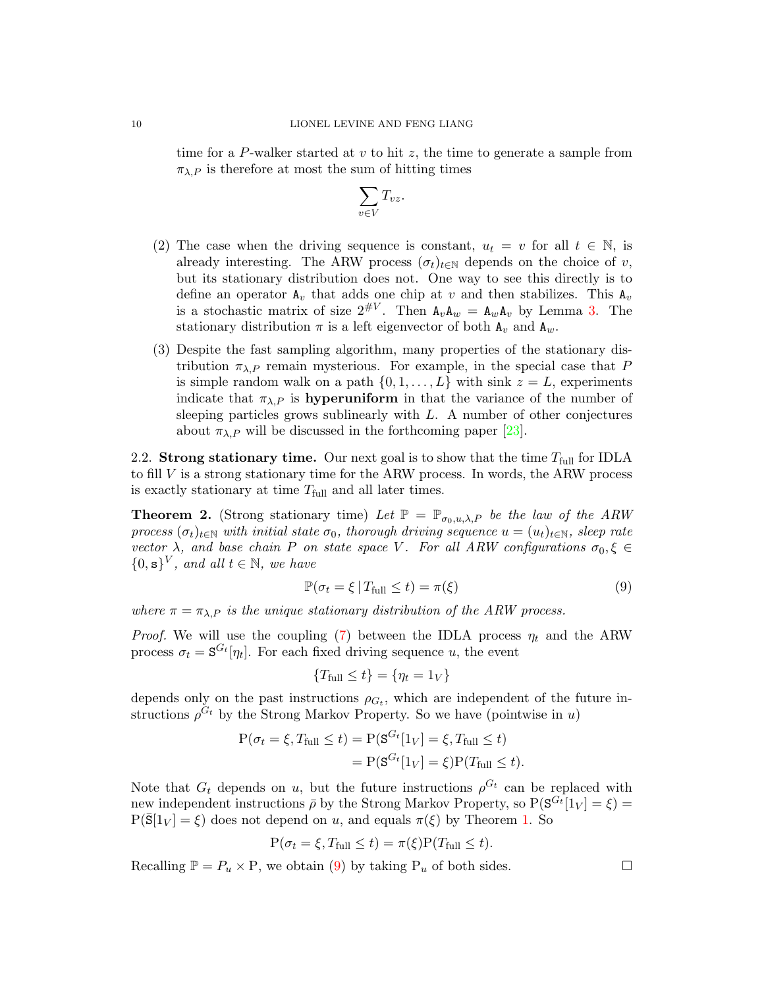time for a P-walker started at v to hit z, the time to generate a sample from  $\pi_{\lambda,P}$  is therefore at most the sum of hitting times

$$
\sum_{v\in V}T_{vz}.
$$

- (2) The case when the driving sequence is constant,  $u_t = v$  for all  $t \in \mathbb{N}$ , is already interesting. The ARW process  $(\sigma_t)_{t \in \mathbb{N}}$  depends on the choice of v, but its stationary distribution does not. One way to see this directly is to define an operator  $A_v$  that adds one chip at v and then stabilizes. This  $A_v$ is a stochastic matrix of size  $2^{\#V}$ . Then  $A_v A_w = A_w A_v$  by Lemma [3.](#page-6-6) The stationary distribution  $\pi$  is a left eigenvector of both  $A_v$  and  $A_w$ .
- (3) Despite the fast sampling algorithm, many properties of the stationary distribution  $\pi_{\lambda,P}$  remain mysterious. For example, in the special case that P is simple random walk on a path  $\{0, 1, \ldots, L\}$  with sink  $z = L$ , experiments indicate that  $\pi_{\lambda,P}$  is **hyperuniform** in that the variance of the number of sleeping particles grows sublinearly with  $L$ . A number of other conjectures about  $\pi_{\lambda,P}$  will be discussed in the forthcoming paper [\[23\]](#page-19-7).

<span id="page-9-0"></span>2.2. Strong stationary time. Our next goal is to show that the time  $T_{\text{full}}$  for IDLA to fill  $V$  is a strong stationary time for the ARW process. In words, the ARW process is exactly stationary at time  $T_{\text{full}}$  and all later times.

<span id="page-9-1"></span>**Theorem 2.** (Strong stationary time) Let  $\mathbb{P} = \mathbb{P}_{\sigma_0, u, \lambda, P}$  be the law of the ARW process  $(\sigma_t)_{t\in\mathbb{N}}$  with initial state  $\sigma_0$ , thorough driving sequence  $u = (u_t)_{t\in\mathbb{N}}$ , sleep rate vector  $\lambda$ , and base chain P on state space V. For all ARW configurations  $\sigma_0, \xi \in$  $\{0, s\}^V$ , and all  $t \in \mathbb{N}$ , we have

<span id="page-9-2"></span>
$$
\mathbb{P}(\sigma_t = \xi \,|\, T_{\text{full}} \le t) = \pi(\xi) \tag{9}
$$

where  $\pi = \pi_{\lambda,P}$  is the unique stationary distribution of the ARW process.

*Proof.* We will use the coupling [\(7\)](#page-6-5) between the IDLA process  $\eta_t$  and the ARW process  $\sigma_t = \mathbf{S}^{G_t}[\eta_t]$ . For each fixed driving sequence u, the event

$$
\{T_{\text{full}} \le t\} = \{\eta_t = 1_V\}
$$

depends only on the past instructions  $\rho_{G_t}$ , which are independent of the future instructions  $\rho^{G_t}$  by the Strong Markov Property. So we have (pointwise in u)

$$
P(\sigma_t = \xi, T_{\text{full}} \le t) = P(S^{G_t}[1_V] = \xi, T_{\text{full}} \le t)
$$
  
= 
$$
P(S^{G_t}[1_V] = \xi)P(T_{\text{full}} \le t).
$$

Note that  $G_t$  depends on u, but the future instructions  $\rho^{G_t}$  can be replaced with new independent instructions  $\bar{\rho}$  by the Strong Markov Property, so  $P(S^{G_t}[1_V] = \xi)$  $P(\bar{S}[1_V] = \xi)$  does not depend on u, and equals  $\pi(\xi)$  by Theorem [1.](#page-7-1) So

$$
P(\sigma_t = \xi, T_{\text{full}} \le t) = \pi(\xi) P(T_{\text{full}} \le t).
$$

Recalling  $\mathbb{P} = P_u \times \mathbb{P}$ , we obtain [\(9\)](#page-9-2) by taking  $P_u$  of both sides.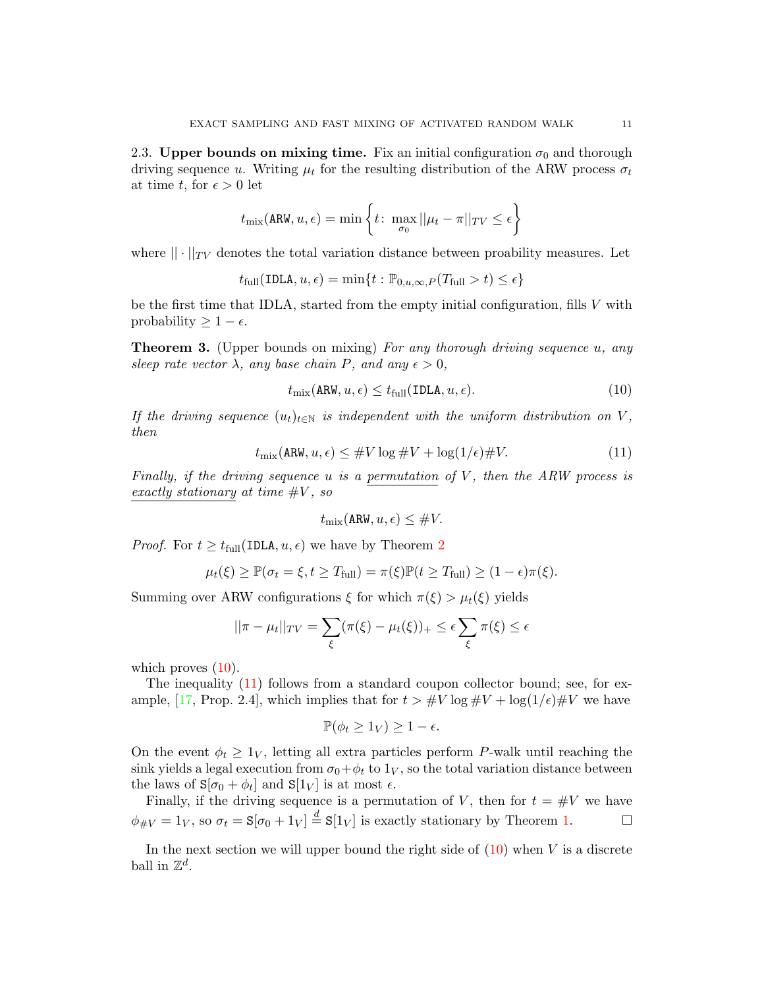<span id="page-10-0"></span>2.3. Upper bounds on mixing time. Fix an initial configuration  $\sigma_0$  and thorough driving sequence u. Writing  $\mu_t$  for the resulting distribution of the ARW process  $\sigma_t$ at time t, for  $\epsilon > 0$  let

$$
t_{\text{mix}}(\text{ARW}, u, \epsilon) = \min \left\{ t \colon \max_{\sigma_0} ||\mu_t - \pi||_{TV} \le \epsilon \right\}
$$

where  $|| \cdot ||_{TV}$  denotes the total variation distance between proability measures. Let

 $t_{\text{full}}(\text{IDLA}, u, \epsilon) = \min\{t : \mathbb{P}_{0,u,\infty,P}(T_{\text{full}} > t) \leq \epsilon\}$ 

be the first time that IDLA, started from the empty initial configuration, fills V with probability  $\geq 1 - \epsilon$ .

<span id="page-10-1"></span>Theorem 3. (Upper bounds on mixing) For any thorough driving sequence u, any sleep rate vector  $\lambda$ , any base chain P, and any  $\epsilon > 0$ ,

<span id="page-10-2"></span>
$$
t_{\text{mix}}(\text{ARW}, u, \epsilon) \le t_{\text{full}}(\text{IDLA}, u, \epsilon). \tag{10}
$$

<span id="page-10-3"></span>If the driving sequence  $(u_t)_{t\in\mathbb{N}}$  is independent with the uniform distribution on V, then

$$
t_{\text{mix}}(\text{ARW}, u, \epsilon) \leq \#V \log \#V + \log(1/\epsilon) \#V. \tag{11}
$$

Finally, if the driving sequence u is a permutation of  $V$ , then the ARW process is exactly stationary at time  $\#V$ , so

$$
t_{\text{mix}}(\text{ARW}, u, \epsilon) \leq \#V.
$$

*Proof.* For  $t \geq t_{\text{full}}(\text{IDLA}, u, \epsilon)$  we have by Theorem [2](#page-9-1)

$$
\mu_t(\xi) \geq \mathbb{P}(\sigma_t = \xi, t \geq T_{\text{full}}) = \pi(\xi)\mathbb{P}(t \geq T_{\text{full}}) \geq (1 - \epsilon)\pi(\xi).
$$

Summing over ARW configurations  $\xi$  for which  $\pi(\xi) > \mu_t(\xi)$  yields

$$
||\pi - \mu_t||_{TV} = \sum_{\xi} (\pi(\xi) - \mu_t(\xi))_+ \le \epsilon \sum_{\xi} \pi(\xi) \le \epsilon
$$

which proves  $(10)$ .

The inequality [\(11\)](#page-10-3) follows from a standard coupon collector bound; see, for ex-ample, [\[17,](#page-19-19) Prop. 2.4], which implies that for  $t > #V \log #V + \log(1/\epsilon) #V$  we have

$$
\mathbb{P}(\phi_t \ge 1_V) \ge 1 - \epsilon.
$$

On the event  $\phi_t \geq 1_V$ , letting all extra particles perform P-walk until reaching the sink yields a legal execution from  $\sigma_0 + \phi_t$  to  $1_V$ , so the total variation distance between the laws of  $S[\sigma_0 + \phi_t]$  and  $S[1_V]$  is at most  $\epsilon$ .

Finally, if the driving sequence is a permutation of V, then for  $t = #V$  we have  $\phi_{\#V} = 1_V$ , so  $\sigma_t = \mathbf{S}[\sigma_0 + 1_V] \stackrel{d}{=} \mathbf{S}[1_V]$  is exactly stationary by Theorem [1.](#page-7-1)

In the next section we will upper bound the right side of  $(10)$  when V is a discrete ball in  $\mathbb{Z}^d$ .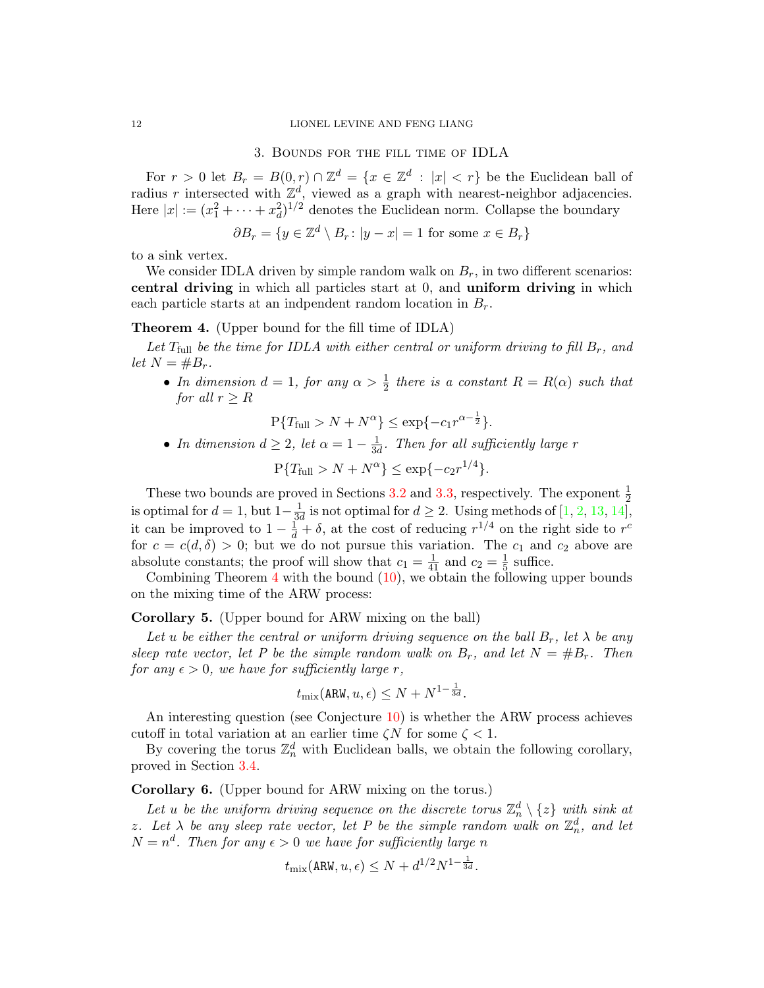#### 12 LIONEL LEVINE AND FENG LIANG

### 3. Bounds for the fill time of IDLA

<span id="page-11-0"></span>For  $r > 0$  let  $B_r = B(0, r) \cap \mathbb{Z}^d = \{x \in \mathbb{Z}^d : |x| < r\}$  be the Euclidean ball of radius r intersected with  $\mathbb{Z}^d$ , viewed as a graph with nearest-neighbor adjacencies. Here  $|x| := (x_1^2 + \cdots + x_d^2)^{1/2}$  denotes the Euclidean norm. Collapse the boundary

$$
\partial B_r = \{ y \in \mathbb{Z}^d \setminus B_r \colon |y - x| = 1 \text{ for some } x \in B_r \}
$$

to a sink vertex.

We consider IDLA driven by simple random walk on  $B_r$ , in two different scenarios: central driving in which all particles start at 0, and uniform driving in which each particle starts at an indpendent random location in  $B_r$ .

## <span id="page-11-3"></span>Theorem 4. (Upper bound for the fill time of IDLA)

Let  $T_{\text{full}}$  be the time for IDLA with either central or uniform driving to fill  $B_r$ , and let  $N = \#B_r$ .

• In dimension  $d = 1$ , for any  $\alpha > \frac{1}{2}$  there is a constant  $R = R(\alpha)$  such that for all  $r > R$ 

$$
P\{T_{\text{full}} > N + N^{\alpha}\}\leq \exp\{-c_1 r^{\alpha - \frac{1}{2}}\}.
$$

• In dimension  $d \geq 2$ , let  $\alpha = 1 - \frac{1}{3d}$  $\frac{1}{3d}$ . Then for all sufficiently large r

 $P{T_{\text{full}} > N + N^{\alpha}} \le \exp\{-c_2 r^{1/4}\}.$ 

These two bounds are proved in Sections [3.2](#page-12-1) and [3.3,](#page-14-0) respectively. The exponent  $\frac{1}{2}$ is optimal for  $d = 1$ , but  $1 - \frac{1}{3}$  $\frac{1}{3d}$  is not optimal for  $d \geq 2$ . Using methods of [\[1,](#page-19-20) [2,](#page-19-21) [13,](#page-19-22) [14\]](#page-19-23), it can be improved to  $1 - \frac{1}{d} + \delta$ , at the cost of reducing  $r^{1/4}$  on the right side to  $r^c$ for  $c = c(d, \delta) > 0$ ; but we do not pursue this variation. The  $c_1$  and  $c_2$  above are absolute constants; the proof will show that  $c_1 = \frac{1}{41}$  and  $c_2 = \frac{1}{5}$  $\frac{1}{5}$  suffice.

Combining Theorem  $4$  with the bound  $(10)$ , we obtain the following upper bounds on the mixing time of the ARW process:

## <span id="page-11-1"></span>Corollary 5. (Upper bound for ARW mixing on the ball)

Let u be either the central or uniform driving sequence on the ball  $B_r$ , let  $\lambda$  be any sleep rate vector, let P be the simple random walk on  $B_r$ , and let  $N = \#B_r$ . Then for any  $\epsilon > 0$ , we have for sufficiently large r,

$$
t_{\mathrm{mix}}(\texttt{ARW}, u, \epsilon) \leq N + N^{1-\frac{1}{3d}}.
$$

An interesting question (see Conjecture [10\)](#page-18-2) is whether the ARW process achieves cutoff in total variation at an earlier time  $\zeta N$  for some  $\zeta < 1$ .

By covering the torus  $\mathbb{Z}_n^d$  with Euclidean balls, we obtain the following corollary, proved in Section [3.4.](#page-17-0)

# <span id="page-11-2"></span>Corollary 6. (Upper bound for ARW mixing on the torus.)

Let u be the uniform driving sequence on the discrete torus  $\mathbb{Z}_n^d \setminus \{z\}$  with sink at z. Let  $\lambda$  be any sleep rate vector, let P be the simple random walk on  $\mathbb{Z}_n^d$ , and let  $N = n<sup>d</sup>$ . Then for any  $\epsilon > 0$  we have for sufficiently large n

$$
t_{\text{mix}}(\text{ARW}, u, \epsilon) \le N + d^{1/2} N^{1 - \frac{1}{3d}}.
$$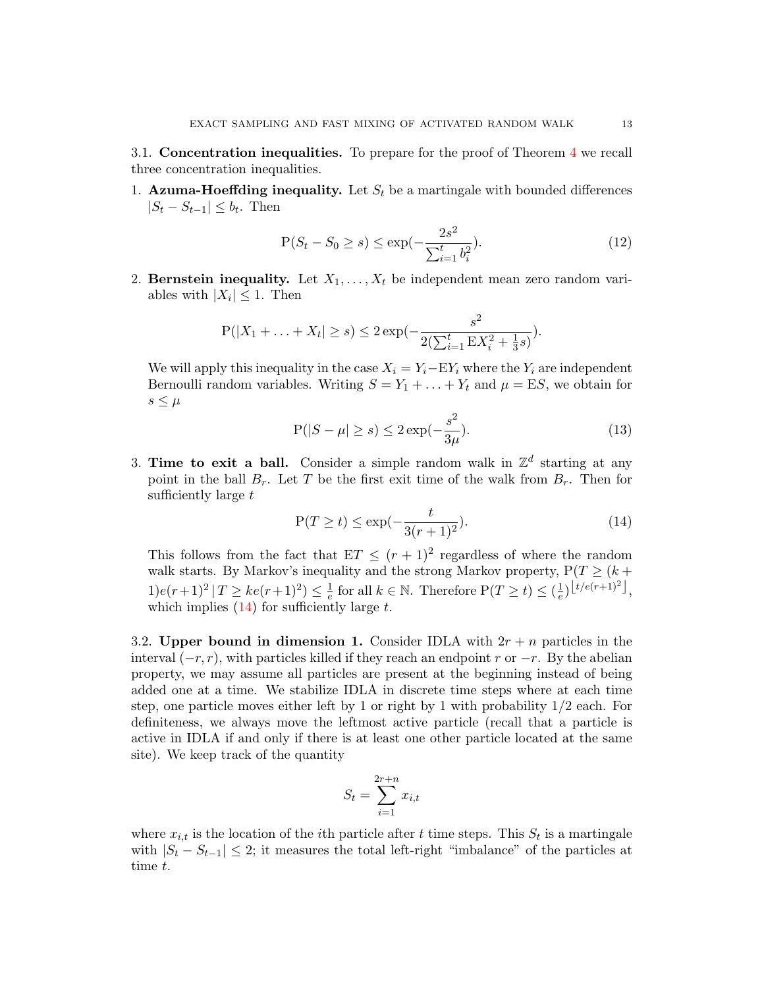<span id="page-12-0"></span>3.1. Concentration inequalities. To prepare for the proof of Theorem [4](#page-11-3) we recall three concentration inequalities.

1. Azuma-Hoeffding inequality. Let  $S_t$  be a martingale with bounded differences  $|S_t - S_{t-1}| \leq b_t$ . Then

<span id="page-12-3"></span>
$$
P(S_t - S_0 \ge s) \le \exp\left(-\frac{2s^2}{\sum_{i=1}^t b_i^2}\right). \tag{12}
$$

2. Bernstein inequality. Let  $X_1, \ldots, X_t$  be independent mean zero random variables with  $|X_i| \leq 1$ . Then

$$
P(|X_1 + ... + X_t| \ge s) \le 2 \exp(-\frac{s^2}{2(\sum_{i=1}^t \mathbb{E}X_i^2 + \frac{1}{3}s)}).
$$

<span id="page-12-4"></span>We will apply this inequality in the case  $X_i = Y_i - EY_i$  where the  $Y_i$  are independent Bernoulli random variables. Writing  $S = Y_1 + \ldots + Y_t$  and  $\mu = ES$ , we obtain for  $s \leq \mu$ 

$$
P(|S - \mu| \ge s) \le 2 \exp(-\frac{s^2}{3\mu}).
$$
\n(13)

3. Time to exit a ball. Consider a simple random walk in  $\mathbb{Z}^d$  starting at any point in the ball  $B_r$ . Let T be the first exit time of the walk from  $B_r$ . Then for sufficiently large  $t$ 

<span id="page-12-2"></span>
$$
P(T \ge t) \le \exp(-\frac{t}{3(r+1)^2}).
$$
\n(14)

This follows from the fact that  $ET \leq (r+1)^2$  regardless of where the random walk starts. By Markov's inequality and the strong Markov property,  $P(T \geq (k +$  $1)e(r+1)^2 | T \geq ke(r+1)^2 \leq \frac{1}{e}$  $\frac{1}{e}$  for all  $k \in \mathbb{N}$ . Therefore  $P(T \ge t) \le (\frac{1}{e})$  $\frac{1}{e}\Big)\left[\frac{t}{e(r+1)^2}\right],$ which implies  $(14)$  for sufficiently large t.

<span id="page-12-1"></span>3.2. Upper bound in dimension 1. Consider IDLA with  $2r + n$  particles in the interval  $(-r, r)$ , with particles killed if they reach an endpoint r or  $-r$ . By the abelian property, we may assume all particles are present at the beginning instead of being added one at a time. We stabilize IDLA in discrete time steps where at each time step, one particle moves either left by 1 or right by 1 with probability 1/2 each. For definiteness, we always move the leftmost active particle (recall that a particle is active in IDLA if and only if there is at least one other particle located at the same site). We keep track of the quantity

$$
S_t = \sum_{i=1}^{2r+n} x_{i,t}
$$

where  $x_{i,t}$  is the location of the *i*<sup>th</sup> particle after t time steps. This  $S_t$  is a martingale with  $|S_t - S_{t-1}| \leq 2$ ; it measures the total left-right "imbalance" of the particles at time t.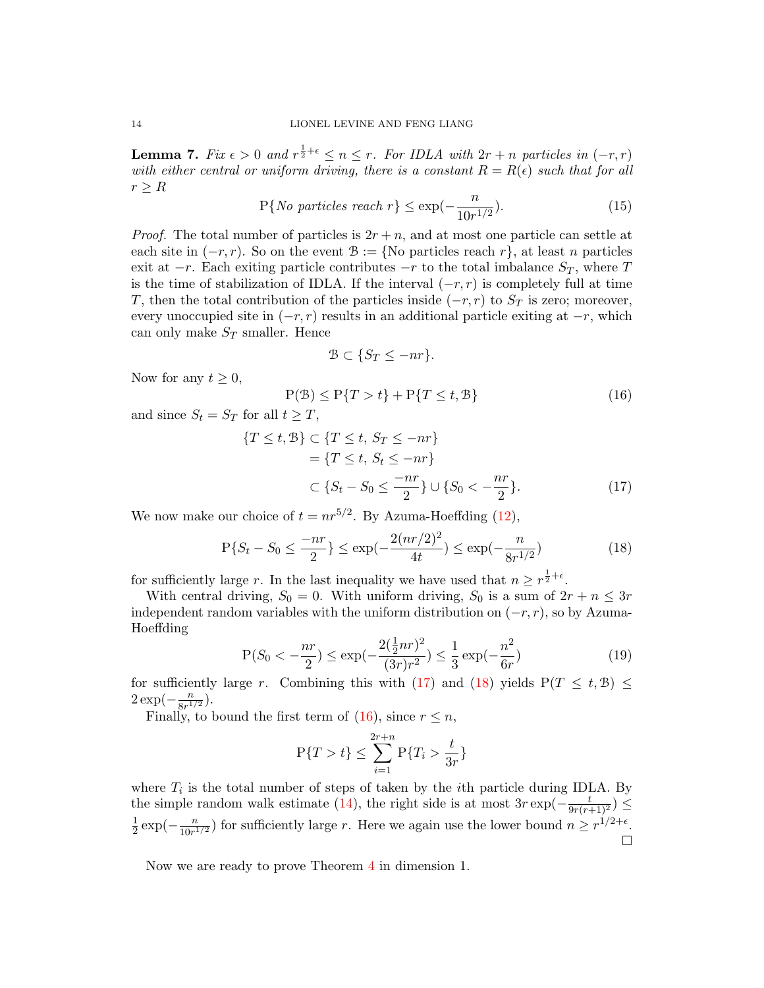<span id="page-13-3"></span>**Lemma 7.** Fix  $\epsilon > 0$  and  $r^{\frac{1}{2}+\epsilon} \leq n \leq r$ . For IDLA with  $2r + n$  particles in  $(-r, r)$ with either central or uniform driving, there is a constant  $R = R(\epsilon)$  such that for all  $r > R$ 

$$
P\{No\ particles\ reach\ r\} \le \exp(-\frac{n}{10r^{1/2}}). \tag{15}
$$

*Proof.* The total number of particles is  $2r + n$ , and at most one particle can settle at each site in  $(-r, r)$ . So on the event  $\mathcal{B} := \{ \text{No particles reach } r \}$ , at least n particles exit at  $-r$ . Each exiting particle contributes  $-r$  to the total imbalance  $S_T$ , where T is the time of stabilization of IDLA. If the interval  $(-r, r)$  is completely full at time T, then the total contribution of the particles inside  $(-r, r)$  to  $S_T$  is zero; moreover, every unoccupied site in  $(-r, r)$  results in an additional particle exiting at  $-r$ , which can only make  $S_T$  smaller. Hence

<span id="page-13-1"></span><span id="page-13-0"></span>
$$
\mathcal{B} \subset \{ S_T \le -nr \}.
$$

Now for any  $t \geq 0$ ,

<span id="page-13-2"></span>
$$
P(\mathcal{B}) \le P\{T > t\} + P\{T \le t, \mathcal{B}\}\tag{16}
$$

and since  $S_t = S_T$  for all  $t \geq T$ ,

$$
\{T \le t, \mathcal{B}\} \subset \{T \le t, S_T \le -nr\}
$$
  
=  $\{T \le t, S_t \le -nr\}$   

$$
\subset \{S_t - S_0 \le \frac{-nr}{2}\} \cup \{S_0 < -\frac{nr}{2}\}.
$$
 (17)

We now make our choice of  $t = nr^{5/2}$ . By Azuma-Hoeffding [\(12\)](#page-12-3),

$$
P\{S_t - S_0 \le \frac{-nr}{2}\} \le \exp(-\frac{2(nr/2)^2}{4t}) \le \exp(-\frac{n}{8r^{1/2}})
$$
\n(18)

for sufficiently large r. In the last inequality we have used that  $n \geq r^{\frac{1}{2}+\epsilon}$ .

With central driving,  $S_0 = 0$ . With uniform driving,  $S_0$  is a sum of  $2r + n \leq 3r$ independent random variables with the uniform distribution on  $(-r, r)$ , so by Azuma-Hoeffding

$$
P(S_0 < -\frac{nr}{2}) \le \exp(-\frac{2(\frac{1}{2}nr)^2}{(3r)r^2}) \le \frac{1}{3}\exp(-\frac{n^2}{6r})\tag{19}
$$

for sufficiently large r. Combining this with [\(17\)](#page-13-0) and [\(18\)](#page-13-1) yields  $P(T \leq t, \mathcal{B}) \leq$  $2 \exp(-\frac{n}{2n}$  $\frac{n}{8r^{1/2}}$ ).

Finally, to bound the first term of [\(16\)](#page-13-2), since  $r \leq n$ ,

$$
\mathbf{P}\{T > t\} \le \sum_{i=1}^{2r+n} \mathbf{P}\{T_i > \frac{t}{3r}\}
$$

where  $T_i$  is the total number of steps of taken by the *i*th particle during IDLA. By the simple random walk estimate [\(14\)](#page-12-2), the right side is at most  $3r \exp(-\frac{t}{9r(r+1)^2}) \le$ 1  $rac{1}{2} \exp(-\frac{n}{10r^1})$  $\frac{n}{10r^{1/2}}$  for sufficiently large r. Here we again use the lower bound  $n \geq r^{1/2+\epsilon}$ .  $\Box$ 

Now we are ready to prove Theorem [4](#page-11-3) in dimension 1.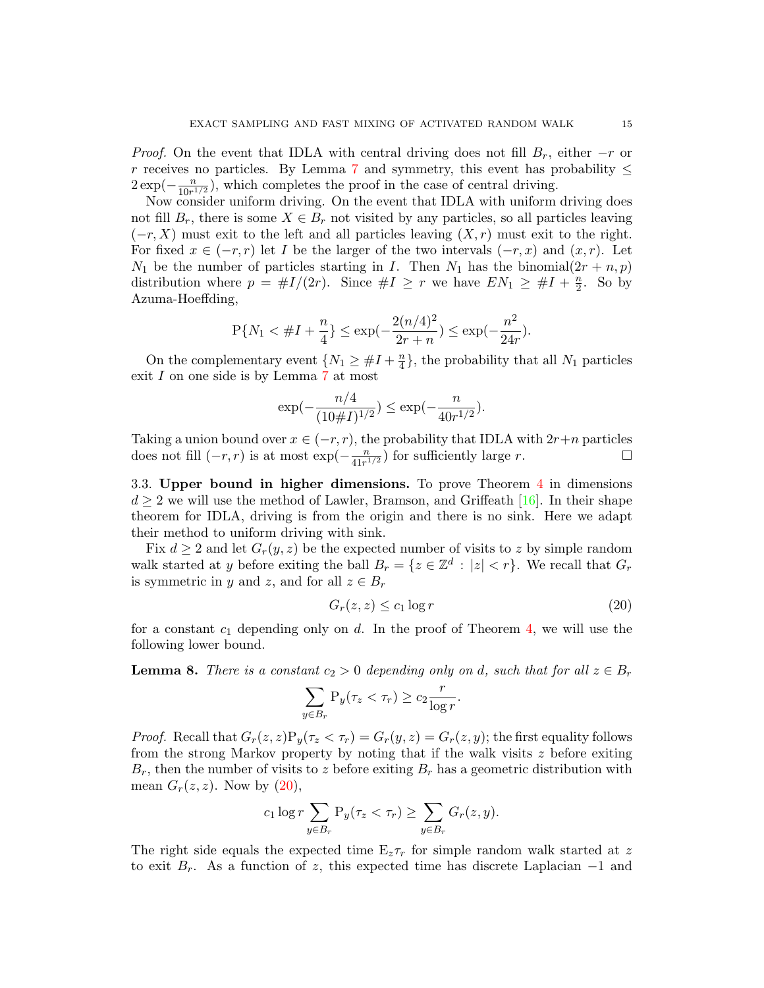*Proof.* On the event that IDLA with central driving does not fill  $B_r$ , either  $-r$  or r receives no particles. By Lemma [7](#page-13-3) and symmetry, this event has probability  $\leq$  $2 \exp(-\frac{n}{10n^2})$  $\frac{n}{10r^{1/2}}$ , which completes the proof in the case of central driving.

Now consider uniform driving. On the event that IDLA with uniform driving does not fill  $B_r$ , there is some  $X \in B_r$  not visited by any particles, so all particles leaving  $(-r, X)$  must exit to the left and all particles leaving  $(X, r)$  must exit to the right. For fixed  $x \in (-r, r)$  let I be the larger of the two intervals  $(-r, x)$  and  $(x, r)$ . Let  $N_1$  be the number of particles starting in I. Then  $N_1$  has the binomial $(2r + n, p)$ distribution where  $p = \#I/(2r)$ . Since  $\#I \geq r$  we have  $EN_1 \geq \#I + \frac{n}{2}$  $\frac{n}{2}$ . So by Azuma-Hoeffding,

$$
P{N_1 < \#I + \frac{n}{4}} \le \exp(-\frac{2(n/4)^2}{2r+n}) \le \exp(-\frac{n^2}{24r}).
$$

On the complementary event  $\{N_1 \geq \#I + \frac{n}{4}\}$  $\left\{ \frac{n}{4}\right\}$ , the probability that all  $N_1$  particles exit I on one side is by Lemma [7](#page-13-3) at most

$$
\exp(-\frac{n/4}{(10\#I)^{1/2}}) \le \exp(-\frac{n}{40r^{1/2}}).
$$

Taking a union bound over  $x \in (-r, r)$ , the probability that IDLA with  $2r+n$  particles does not fill  $(-r, r)$  is at most  $\exp(-\frac{n}{4\ln r})$  $\frac{n}{41r^{1/2}}$  for sufficiently large r.

<span id="page-14-0"></span>3.3. Upper bound in higher dimensions. To prove Theorem [4](#page-11-3) in dimensions  $d \geq 2$  we will use the method of Lawler, Bramson, and Griffeath [\[16\]](#page-19-24). In their shape theorem for IDLA, driving is from the origin and there is no sink. Here we adapt their method to uniform driving with sink.

Fix  $d \geq 2$  and let  $G_r(y, z)$  be the expected number of visits to z by simple random walk started at y before exiting the ball  $B_r = \{z \in \mathbb{Z}^d : |z| < r\}$ . We recall that  $G_r$ is symmetric in y and z, and for all  $z \in B_r$ 

<span id="page-14-1"></span>
$$
G_r(z, z) \le c_1 \log r \tag{20}
$$

for a constant  $c_1$  depending only on d. In the proof of Theorem [4,](#page-11-3) we will use the following lower bound.

<span id="page-14-2"></span>**Lemma 8.** There is a constant  $c_2 > 0$  depending only on d, such that for all  $z \in B_r$ 

$$
\sum_{y \in B_r} \mathbf{P}_y(\tau_z < \tau_r) \ge c_2 \frac{r}{\log r}.
$$

*Proof.* Recall that  $G_r(z, z)P_y(\tau_z \leq \tau_r) = G_r(y, z) = G_r(z, y)$ ; the first equality follows from the strong Markov property by noting that if the walk visits  $z$  before exiting  $B_r$ , then the number of visits to z before exiting  $B_r$  has a geometric distribution with mean  $G_r(z, z)$ . Now by  $(20)$ ,

$$
c_1 \log r \sum_{y \in B_r} \mathbf{P}_y(\tau_z < \tau_r) \ge \sum_{y \in B_r} G_r(z, y).
$$

The right side equals the expected time  $E_z \tau_r$  for simple random walk started at z to exit  $B_r$ . As a function of z, this expected time has discrete Laplacian  $-1$  and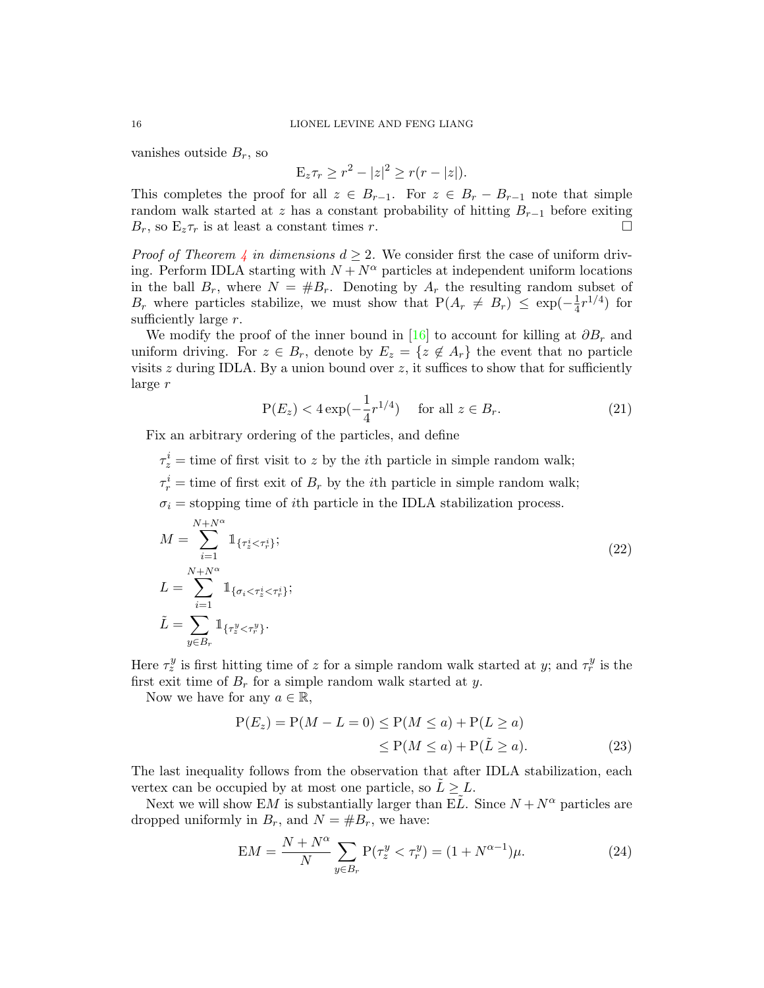vanishes outside  $B_r$ , so

$$
\mathbb{E}_z \tau_r \ge r^2 - |z|^2 \ge r(r - |z|).
$$

This completes the proof for all  $z \in B_{r-1}$ . For  $z \in B_r - B_{r-1}$  note that simple random walk started at z has a constant probability of hitting  $B_{r-1}$  before exiting  $B_r$ , so  $E_z \tau_r$  is at least a constant times r.

*Proof of Theorem [4](#page-11-3) in dimensions*  $d \geq 2$ *.* We consider first the case of uniform driving. Perform IDLA starting with  $N + N^{\alpha}$  particles at independent uniform locations in the ball  $B_r$ , where  $N = \#B_r$ . Denoting by  $A_r$  the resulting random subset of  $B_r$  where particles stabilize, we must show that  $P(A_r \neq B_r) \leq \exp(-\frac{1}{4}$  $\frac{1}{4}r^{1/4}$  for sufficiently large r.

We modify the proof of the inner bound in [\[16\]](#page-19-24) to account for killing at  $\partial B_r$  and uniform driving. For  $z \in B_r$ , denote by  $E_z = \{z \notin A_r\}$  the event that no particle visits  $z$  during IDLA. By a union bound over  $z$ , it suffices to show that for sufficiently large r

$$
P(E_z) < 4 \exp(-\frac{1}{4}r^{1/4})
$$
 for all  $z \in B_r$ . (21)

Fix an arbitrary ordering of the particles, and define

 $\tau_z^i$  = time of first visit to z by the *i*th particle in simple random walk;

 $\tau_r^i$  = time of first exit of  $B_r$  by the *i*<sup>th</sup> particle in simple random walk;

 $\sigma_i$  = stopping time of *i*th particle in the IDLA stabilization process.

$$
M = \sum_{i=1}^{N+N^{\alpha}} 1_{\{\tau_z^i < \tau_r^i\}};
$$
\n
$$
L = \sum_{i=1}^{N+N^{\alpha}} 1_{\{\sigma_i < \tau_z^i < \tau_r^i\}};
$$
\n
$$
\tilde{L} = \sum_{y \in B_r} 1_{\{\tau_z^y < \tau_r^y\}}.
$$
\n
$$
(22)
$$

Here  $\tau_z^y$  is first hitting time of z for a simple random walk started at y; and  $\tau_r^y$  is the first exit time of  $B_r$  for a simple random walk started at y.

Now we have for any  $a \in \mathbb{R}$ ,

<span id="page-15-0"></span>
$$
P(E_z) = P(M - L = 0) \le P(M \le a) + P(L \ge a)
$$
  

$$
\le P(M \le a) + P(\tilde{L} \ge a). \tag{23}
$$

The last inequality follows from the observation that after IDLA stabilization, each vertex can be occupied by at most one particle, so  $L \geq L$ .

Next we will show EM is substantially larger than EL. Since  $N + N^{\alpha}$  particles are dropped uniformly in  $B_r$ , and  $N = \#B_r$ , we have:

<span id="page-15-1"></span>
$$
EM = \frac{N + N^{\alpha}}{N} \sum_{y \in B_r} P(\tau_z^y < \tau_r^y) = (1 + N^{\alpha - 1})\mu. \tag{24}
$$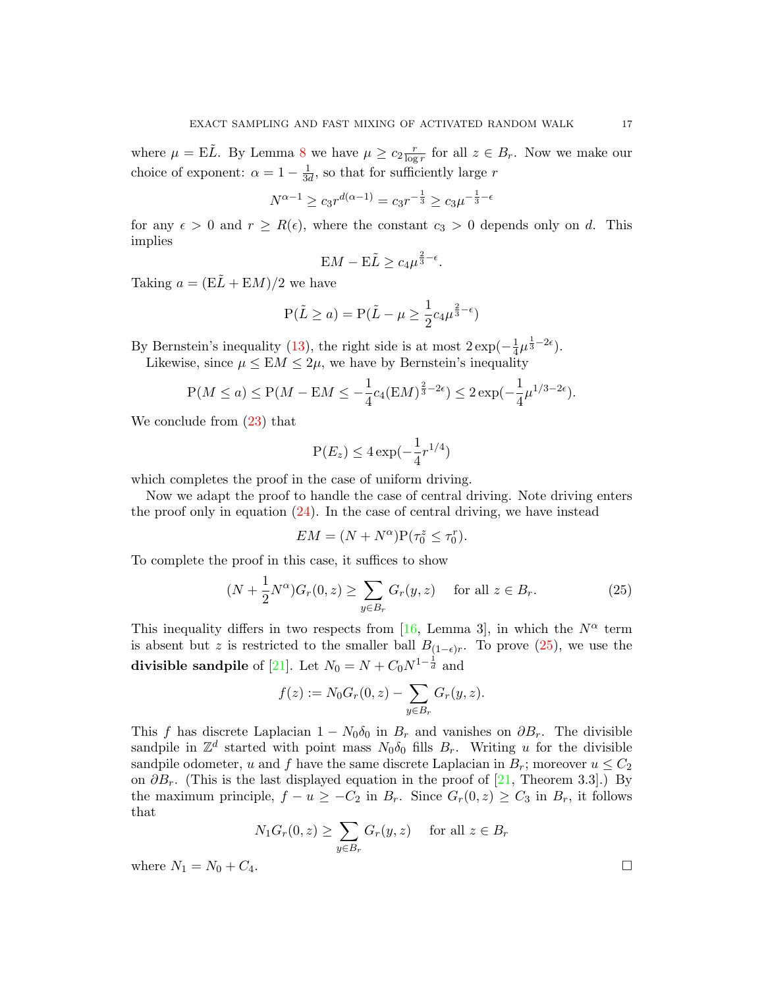where  $\mu = \mathbf{E}\tilde{L}$ . By Lemma [8](#page-14-2) we have  $\mu \geq c_2 \frac{r}{\log n}$  $\frac{r}{\log r}$  for all  $z \in B_r$ . Now we make our choice of exponent:  $\alpha = 1 - \frac{1}{3}$  $\frac{1}{3d}$ , so that for sufficiently large r

$$
N^{\alpha - 1} \ge c_3 r^{d(\alpha - 1)} = c_3 r^{-\frac{1}{3}} \ge c_3 \mu^{-\frac{1}{3} - \epsilon}
$$

for any  $\epsilon > 0$  and  $r \geq R(\epsilon)$ , where the constant  $c_3 > 0$  depends only on d. This implies

$$
\mathbf{E}M - \mathbf{E}\tilde{L} \ge c_4 \mu^{\frac{2}{3} - \epsilon}.
$$

Taking  $a = (E\tilde{L} + EM)/2$  we have

$$
P(\tilde{L} \ge a) = P(\tilde{L} - \mu \ge \frac{1}{2}c_4\mu^{\frac{2}{3}-\epsilon})
$$

By Bernstein's inequality [\(13\)](#page-12-4), the right side is at most  $2 \exp(-\frac{1}{4})$  $\frac{1}{4}\mu^{\frac{1}{3}-2\epsilon}$ ).

Likewise, since  $\mu \leq EM \leq 2\mu$ , we have by Bernstein's inequality

$$
P(M \le a) \le P(M - EM \le -\frac{1}{4}c_4(EM)^{\frac{2}{3}-2\epsilon}) \le 2\exp(-\frac{1}{4}\mu^{1/3-2\epsilon}).
$$

We conclude from [\(23\)](#page-15-0) that

$$
\mathbf{P}(E_z) \le 4 \exp(-\frac{1}{4}r^{1/4})
$$

which completes the proof in the case of uniform driving.

Now we adapt the proof to handle the case of central driving. Note driving enters the proof only in equation  $(24)$ . In the case of central driving, we have instead

<span id="page-16-0"></span>
$$
EM = (N + N^{\alpha})P(\tau_0^z \le \tau_0^r).
$$

To complete the proof in this case, it suffices to show

$$
(N + \frac{1}{2}N^{\alpha})G_r(0, z) \ge \sum_{y \in B_r} G_r(y, z) \quad \text{for all } z \in B_r.
$$
 (25)

This inequality differs in two respects from [\[16,](#page-19-24) Lemma 3], in which the  $N^{\alpha}$  term is absent but z is restricted to the smaller ball  $B_{(1-\epsilon)r}$ . To prove [\(25\)](#page-16-0), we use the divisible sandpile of [\[21\]](#page-19-25). Let  $N_0 = N + C_0 N^{1-\frac{1}{d}}$  and

$$
f(z) := N_0 G_r(0, z) - \sum_{y \in B_r} G_r(y, z).
$$

This f has discrete Laplacian  $1 - N_0 \delta_0$  in  $B_r$  and vanishes on  $\partial B_r$ . The divisible sandpile in  $\mathbb{Z}^d$  started with point mass  $N_0\delta_0$  fills  $B_r$ . Writing u for the divisible sandpile odometer, u and f have the same discrete Laplacian in  $B_r$ ; moreover  $u \leq C_2$ on  $\partial B_r$ . (This is the last displayed equation in the proof of [\[21,](#page-19-25) Theorem 3.3].) By the maximum principle,  $f - u \geq -C_2$  in  $B_r$ . Since  $G_r(0, z) \geq C_3$  in  $B_r$ , it follows that

$$
N_1 G_r(0, z) \ge \sum_{y \in B_r} G_r(y, z) \quad \text{ for all } z \in B_r
$$

where  $N_1 = N_0 + C_4$ .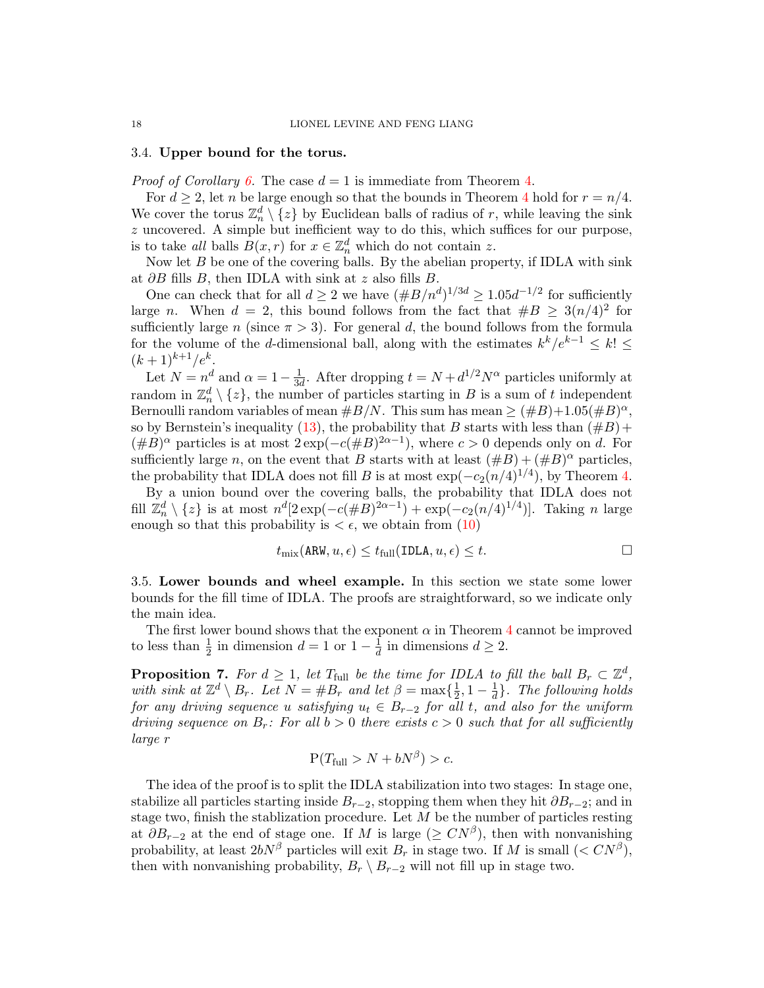#### <span id="page-17-0"></span>3.4. Upper bound for the torus.

*Proof of Corollary [6.](#page-11-2)* The case  $d = 1$  is immediate from Theorem [4.](#page-11-3)

For  $d \geq 2$ , let n be large enough so that the bounds in Theorem [4](#page-11-3) hold for  $r = n/4$ . We cover the torus  $\mathbb{Z}_n^d \setminus \{z\}$  by Euclidean balls of radius of r, while leaving the sink z uncovered. A simple but inefficient way to do this, which suffices for our purpose, is to take all balls  $B(x,r)$  for  $x \in \mathbb{Z}_n^d$  which do not contain z.

Now let  $B$  be one of the covering balls. By the abelian property, if IDLA with sink at  $\partial B$  fills B, then IDLA with sink at z also fills B.

One can check that for all  $d \geq 2$  we have  $(\#B/n^d)^{1/3d} \geq 1.05d^{-1/2}$  for sufficiently large n. When  $d = 2$ , this bound follows from the fact that  $#B \geq 3(n/4)^2$  for sufficiently large n (since  $\pi > 3$ ). For general d, the bound follows from the formula for the volume of the d-dimensional ball, along with the estimates  $k^k/e^{k-1} \leq k! \leq$  $(k+1)^{k+1}/e^k$ .

Let  $N = n^d$  and  $\alpha = 1 - \frac{1}{3d}$  $\frac{1}{3d}$ . After dropping  $t = N + d^{1/2}N^{\alpha}$  particles uniformly at random in  $\mathbb{Z}_n^d \setminus \{z\}$ , the number of particles starting in B is a sum of t independent Bernoulli random variables of mean  $\#B/N$ . This sum has mean  $\geq (\#B) + 1.05(\#B)^{\alpha}$ , so by Bernstein's inequality [\(13\)](#page-12-4), the probability that B starts with less than  $(\#B)$ +  $(\#B)^{\alpha}$  particles is at most  $2 \exp(-c(\#B)^{2\alpha-1})$ , where  $c > 0$  depends only on d. For sufficiently large n, on the event that B starts with at least  $(\#B) + (\#B)^{\alpha}$  particles, the probability that IDLA does not fill B is at most  $\exp(-c_2(n/4)^{1/4})$ , by Theorem [4.](#page-11-3)

By a union bound over the covering balls, the probability that IDLA does not fill  $\mathbb{Z}_n^d \setminus \{z\}$  is at most  $n^d[2\exp(-c(\#B)^{2\alpha-1}) + \exp(-c_2(n/4)^{1/4})]$ . Taking n large enough so that this probability is  $\lt \epsilon$ , we obtain from [\(10\)](#page-10-2)

$$
t_{\text{mix}}(\text{ARW}, u, \epsilon) \le t_{\text{full}}(\text{IDLA}, u, \epsilon) \le t.
$$

<span id="page-17-1"></span>3.5. Lower bounds and wheel example. In this section we state some lower bounds for the fill time of IDLA. The proofs are straightforward, so we indicate only the main idea.

The first lower bound shows that the exponent  $\alpha$  in Theorem [4](#page-11-3) cannot be improved to less than  $\frac{1}{2}$  in dimension  $d = 1$  or  $1 - \frac{1}{d}$  $\frac{1}{d}$  in dimensions  $d \geq 2$ .

**Proposition 7.** For  $d \geq 1$ , let  $T_{\text{full}}$  be the time for IDLA to fill the ball  $B_r \subset \mathbb{Z}^d$ , with sink at  $\mathbb{Z}^d \setminus B_r$ . Let  $N = \#B_r$  and let  $\beta = \max\{\frac{1}{2}$  $\frac{1}{2}, 1-\frac{1}{d}$  $\frac{1}{d}$ . The following holds for any driving sequence u satisfying  $u_t \in B_{r-2}$  for all t, and also for the uniform driving sequence on  $B_r$ : For all  $b > 0$  there exists  $c > 0$  such that for all sufficiently large r

$$
P(T_{\text{full}} > N + bN^{\beta}) > c.
$$

The idea of the proof is to split the IDLA stabilization into two stages: In stage one, stabilize all particles starting inside  $B_{r-2}$ , stopping them when they hit  $\partial B_{r-2}$ ; and in stage two, finish the stablization procedure. Let  $M$  be the number of particles resting at  $\partial B_{r-2}$  at the end of stage one. If M is large ( $\geq CN^{\beta}$ ), then with nonvanishing probability, at least  $2bN^{\beta}$  particles will exit  $B_r$  in stage two. If M is small  $(< CN^{\beta})$ , then with nonvanishing probability,  $B_r \setminus B_{r-2}$  will not fill up in stage two.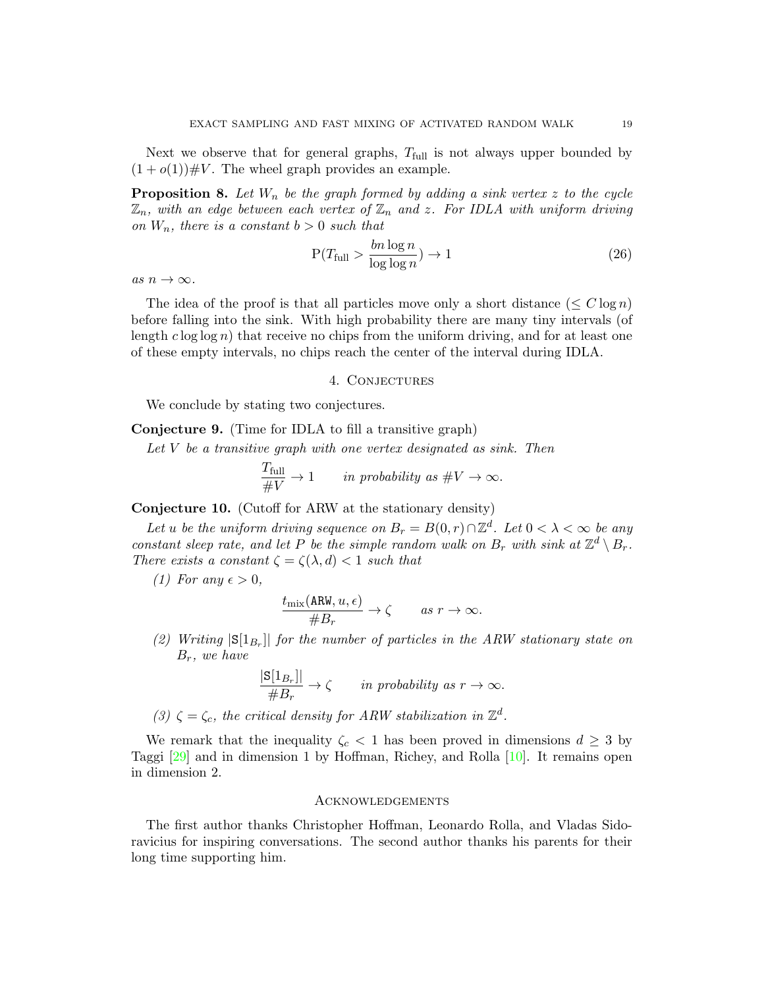Next we observe that for general graphs,  $T_{\text{full}}$  is not always upper bounded by  $(1+o(1)) \# V$ . The wheel graph provides an example.

**Proposition 8.** Let  $W_n$  be the graph formed by adding a sink vertex z to the cycle  $\mathbb{Z}_n$ , with an edge between each vertex of  $\mathbb{Z}_n$  and z. For IDLA with uniform driving on  $W_n$ , there is a constant  $b > 0$  such that

$$
P(T_{\text{full}} > \frac{bn \log n}{\log \log n}) \to 1\tag{26}
$$

as  $n \to \infty$ .

The idea of the proof is that all particles move only a short distance  $(\leq C \log n)$ before falling into the sink. With high probability there are many tiny intervals (of length  $c \log \log n$ ) that receive no chips from the uniform driving, and for at least one of these empty intervals, no chips reach the center of the interval during IDLA.

#### 4. Conjectures

<span id="page-18-0"></span>We conclude by stating two conjectures.

Conjecture 9. (Time for IDLA to fill a transitive graph)

Let  $V$  be a transitive graph with one vertex designated as sink. Then

$$
\frac{T_{\text{full}}}{\#V} \to 1 \qquad \text{in probability as } \#V \to \infty.
$$

<span id="page-18-2"></span>Conjecture 10. (Cutoff for ARW at the stationary density)

Let u be the uniform driving sequence on  $B_r = B(0, r) \cap \mathbb{Z}^d$ . Let  $0 < \lambda < \infty$  be any constant sleep rate, and let P be the simple random walk on  $B_r$  with sink at  $\mathbb{Z}^d \setminus B_r$ . There exists a constant  $\zeta = \zeta(\lambda, d) < 1$  such that

(1) For any  $\epsilon > 0$ ,

$$
\frac{t_{\text{mix}}(\text{ARW}, u, \epsilon)}{\#B_r} \to \zeta \quad \text{as } r \to \infty.
$$

(2) Writing  $|S[1_{B_r}]|$  for the number of particles in the ARW stationary state on  $B_r$ , we have

$$
\frac{|\mathbf{S}[1_{B_r}]|}{\#B_r} \to \zeta \quad in \text{ probability as } r \to \infty.
$$

(3)  $\zeta = \zeta_c$ , the critical density for ARW stabilization in  $\mathbb{Z}^d$ .

We remark that the inequality  $\zeta_c < 1$  has been proved in dimensions  $d \geq 3$  by Taggi [\[29\]](#page-20-2) and in dimension 1 by Hoffman, Richey, and Rolla [\[10\]](#page-19-8). It remains open in dimension 2.

# <span id="page-18-1"></span>**ACKNOWLEDGEMENTS**

The first author thanks Christopher Hoffman, Leonardo Rolla, and Vladas Sidoravicius for inspiring conversations. The second author thanks his parents for their long time supporting him.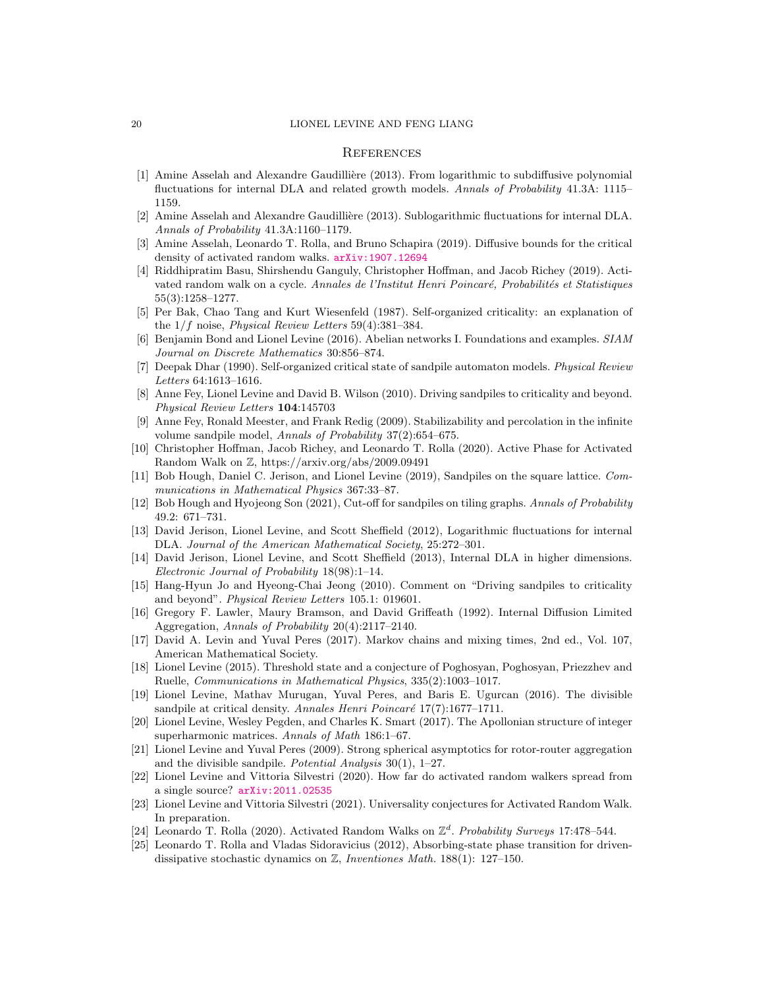#### <span id="page-19-0"></span>**REFERENCES**

- <span id="page-19-20"></span>[1] Amine Asselah and Alexandre Gaudillière (2013). From logarithmic to subdiffusive polynomial fluctuations for internal DLA and related growth models. Annals of Probability 41.3A: 1115– 1159.
- <span id="page-19-21"></span>[2] Amine Asselah and Alexandre Gaudillière (2013). Sublogarithmic fluctuations for internal DLA. Annals of Probability 41.3A:1160–1179.
- <span id="page-19-9"></span>[3] Amine Asselah, Leonardo T. Rolla, and Bruno Schapira (2019). Diffusive bounds for the critical density of activated random walks. [arXiv:1907.12694](http://arxiv.org/abs/1907.12694)
- <span id="page-19-10"></span>[4] Riddhipratim Basu, Shirshendu Ganguly, Christopher Hoffman, and Jacob Richey (2019). Activated random walk on a cycle. Annales de l'Institut Henri Poincaré, Probabilités et Statistiques 55(3):1258–1277.
- <span id="page-19-1"></span>[5] Per Bak, Chao Tang and Kurt Wiesenfeld (1987). Self-organized criticality: an explanation of the  $1/f$  noise, *Physical Review Letters* 59(4):381–384.
- <span id="page-19-17"></span>[6] Benjamin Bond and Lionel Levine (2016). Abelian networks I. Foundations and examples. SIAM Journal on Discrete Mathematics 30:856–874.
- <span id="page-19-2"></span>[7] Deepak Dhar (1990). Self-organized critical state of sandpile automaton models. Physical Review Letters 64:1613–1616.
- <span id="page-19-4"></span>[8] Anne Fey, Lionel Levine and David B. Wilson (2010). Driving sandpiles to criticality and beyond. Physical Review Letters 104:145703
- <span id="page-19-11"></span>[9] Anne Fey, Ronald Meester, and Frank Redig (2009). Stabilizability and percolation in the infinite volume sandpile model, *Annals of Probability* 37(2):654–675.
- <span id="page-19-8"></span>[10] Christopher Hoffman, Jacob Richey, and Leonardo T. Rolla (2020). Active Phase for Activated Random Walk on Z, https://arxiv.org/abs/2009.09491
- <span id="page-19-13"></span>[11] Bob Hough, Daniel C. Jerison, and Lionel Levine (2019), Sandpiles on the square lattice. Communications in Mathematical Physics 367:33–87.
- <span id="page-19-14"></span>[12] Bob Hough and Hyojeong Son (2021), Cut-off for sandpiles on tiling graphs. Annals of Probability 49.2: 671–731.
- <span id="page-19-22"></span>[13] David Jerison, Lionel Levine, and Scott Sheffield (2012), Logarithmic fluctuations for internal DLA. Journal of the American Mathematical Society, 25:272–301.
- <span id="page-19-23"></span>[14] David Jerison, Lionel Levine, and Scott Sheffield (2013), Internal DLA in higher dimensions. Electronic Journal of Probability 18(98):1–14.
- <span id="page-19-5"></span>[15] Hang-Hyun Jo and Hyeong-Chai Jeong (2010). Comment on "Driving sandpiles to criticality and beyond". Physical Review Letters 105.1: 019601.
- <span id="page-19-24"></span>[16] Gregory F. Lawler, Maury Bramson, and David Griffeath (1992). Internal Diffusion Limited Aggregation, Annals of Probability 20(4):2117–2140.
- <span id="page-19-19"></span>[17] David A. Levin and Yuval Peres (2017). Markov chains and mixing times, 2nd ed., Vol. 107, American Mathematical Society.
- <span id="page-19-15"></span>[18] Lionel Levine (2015). Threshold state and a conjecture of Poghosyan, Poghosyan, Priezzhev and Ruelle, Communications in Mathematical Physics, 335(2):1003–1017.
- <span id="page-19-12"></span>[19] Lionel Levine, Mathav Murugan, Yuval Peres, and Baris E. Ugurcan (2016). The divisible sandpile at critical density. Annales Henri Poincaré  $17(7)$ :1677–1711.
- <span id="page-19-3"></span>[20] Lionel Levine, Wesley Pegden, and Charles K. Smart (2017). The Apollonian structure of integer superharmonic matrices. Annals of Math 186:1–67.
- <span id="page-19-25"></span>[21] Lionel Levine and Yuval Peres (2009). Strong spherical asymptotics for rotor-router aggregation and the divisible sandpile. Potential Analysis  $30(1)$ , 1–27.
- <span id="page-19-18"></span>[22] Lionel Levine and Vittoria Silvestri (2020). How far do activated random walkers spread from a single source? [arXiv:2011.02535](http://arxiv.org/abs/2011.02535)
- <span id="page-19-7"></span>[23] Lionel Levine and Vittoria Silvestri (2021). Universality conjectures for Activated Random Walk. In preparation.
- <span id="page-19-16"></span>[24] Leonardo T. Rolla (2020). Activated Random Walks on  $\mathbb{Z}^d$ . Probability Surveys 17:478-544.
- <span id="page-19-6"></span>[25] Leonardo T. Rolla and Vladas Sidoravicius (2012), Absorbing-state phase transition for drivendissipative stochastic dynamics on Z, Inventiones Math. 188(1): 127–150.